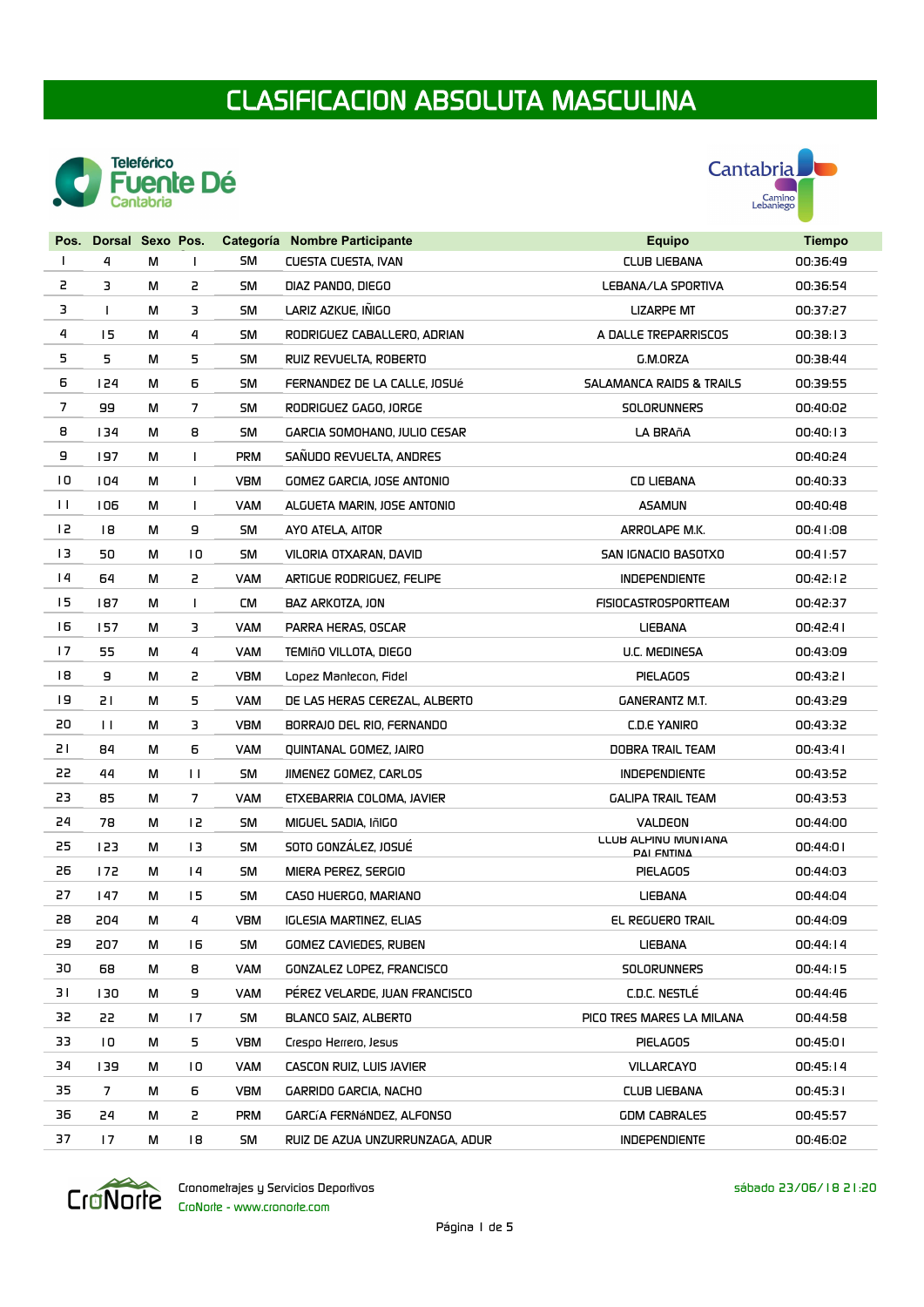



| Pos.           | Dorsal Sexo Pos. |   |                |            | Categoría Nombre Participante   | <b>Equipo</b>                            | <b>Tiempo</b> |
|----------------|------------------|---|----------------|------------|---------------------------------|------------------------------------------|---------------|
| $\mathbf{I}$   | 4                | М | $\mathbf{I}$   | SM         | <b>CUESTA CUESTA, IVAN</b>      | <b>CLUB LIEBANA</b>                      | 00:36:49      |
| 2              | з                | M | 2              | SM         | DIAZ PANDO, DIEGO               | LEBANA/LA SPORTIVA                       | 00:36:54      |
| 3              | L                | М | з              | SM         | LARIZ AZKUE, IÑIGO              | <b>LIZARPE MT</b>                        | 00:37:27      |
| 4              | 15               | М | 4              | 5M         | RODRIGUEZ CABALLERO, ADRIAN     | A DALLE TREPARRISCOS                     | 00:38:13      |
| 5              | 5.               | М | 5              | 5M         | RUIZ REVUELTA, ROBERTO          | G.M.ORZA                                 | 00:38:44      |
| 6              | 124              | М | 6              | SM         | FERNANDEZ DE LA CALLE, JOSUé    | SALAMANCA RAIDS & TRAILS                 | 00:39:55      |
| $\overline{7}$ | 99               | М | $\overline{7}$ | SM         | RODRIGUEZ GAGO, JORGE           | <b>SOLORUNNERS</b>                       | 00:40:02      |
| 8              | 134              | М | 8              | SM         | GARCIA SOMOHANO, JULIO CESAR    | LA BRAñA                                 | 00:40:13      |
| 9              | 197              | М | $\mathbf{I}$   | <b>PRM</b> | SAÑUDO REVUELTA, ANDRES         |                                          | 00:40:24      |
| 10             | 104              | М | $\mathbf{I}$   | <b>VBM</b> | GOMEZ GARCIA, JOSE ANTONIO      | CD LIEBANA                               | 00:40:33      |
| $\mathbf{H}$   | 106              | м | $\mathbf{I}$   | <b>VAM</b> | ALGUETA MARIN, JOSE ANTONIO     | <b>ASAMUN</b>                            | 00:40:48      |
| 12             | 18               | М | 9              | SM         | AYO ATELA, AITOR                | ARROLAPE M.K.                            | 00:41:08      |
| 13             | 50               | М | 10             | 5M         | VILORIA OTXARAN, DAVID          | SAN IGNACIO BASOTXO                      | 00:41:57      |
| 4              | 64               | м | 2              | <b>VAM</b> | ARTIGUE RODRIGUEZ, FELIPE       | <b>INDEPENDIENTE</b>                     | 00:42:12      |
| 15             | 187              | М | $\mathbf{I}$   | СM         | BAZ ARKOTZA, JON                | <b>FISIOCASTROSPORTTEAM</b>              | 00:42:37      |
| 16             | 157              | м | 3.             | <b>VAM</b> | PARRA HERAS, OSCAR              | <b>LIEBANA</b>                           | 00:42:41      |
| 17             | 55               | M | 4              | <b>VAM</b> | TEMIñO VILLOTA, DIEGO           | U.C. MEDINESA                            | 00:43:09      |
| 18             | 9                | М | 2              | <b>VBM</b> | Lopez Maniecon, Fidel           | PIELAGOS                                 | 00:43:21      |
| 19             | 21               | М | 5              | VAM        | DE LAS HERAS CEREZAL, ALBERTO   | <b>GANERANTZ M.T.</b>                    | 00:43:29      |
| 20             | $\mathbf{H}$     | М | 3              | <b>VBM</b> | BORRAJO DEL RIO, FERNANDO       | C.D.E YANIRO                             | 00:43:32      |
| 21             | 84               | М | 6              | <b>VAM</b> | QUINTANAL GOMEZ, JAIRO          | DOBRA TRAIL TEAM                         | 00:43:41      |
| 22             | 44               | М | $\mathbf{L}$   | 5M         | JIMENEZ GOMEZ, CARLOS           | <b>INDEPENDIENTE</b>                     | 00:43:52      |
| 23             | 85               | М | 7              | <b>VAM</b> | ETXEBARRIA COLOMA, JAVIER       | <b>GALIPA TRAIL TEAM</b>                 | 00:43:53      |
| 24             | 78               | М | 12             | SM         | MIGUEL SADIA, IñIGO             | VALDEON                                  | 00:44:00      |
| 25             | 153              | М | 13             | SM         | SOTO GONZÁLEZ, JOSUÉ            | LLUB ALPINU MUNIANA<br><b>PAI FNTINA</b> | 00:44:01      |
| 26             | 172              | М | 14             | 5M         | MIERA PEREZ, SERGIO             | PIELAGOS                                 | 00:44:03      |
| 27             | 147              | м | 15             | 5M         | CASO HUERGO, MARIANO            | <b>LIEBANA</b>                           | 00:44:04      |
| 28             | 204              | М | 4              | <b>VBM</b> | IGLESIA MARTINEZ, ELIAS         | EL REGUERO TRAIL                         | 00:44:09      |
| 29             | 207              | м | 16             | <b>SM</b>  | GOMEZ CAVIEDES, RUBEN           | <b>LIEBANA</b>                           | 00:44:14      |
| 30             | 68               | М | 8              | VAM        | GONZALEZ LOPEZ, FRANCISCO       | <b>SOLORUNNERS</b>                       | 00:44:15      |
| 31             | 130              | М | 9              | VAM        | PEREZ VELARDE, JUAN FRANCISCO   | C.D.C. NESTLÉ                            | 00:44:46      |
| 32             | 22               | М | 17             | 5M         | BLANCO SAIZ, ALBERTO            | PICO TRES MARES LA MILANA                | 00:44:58      |
| 33             | 10               | М | 5.             | <b>VBM</b> | Crespo Herrero, Jesus           | PIELAGOS                                 | 00:45:01      |
| 34             | 139              | М | 10             | <b>VAM</b> | CASCON RUIZ, LUIS JAVIER        | VILLARCAYO                               | 00:45:14      |
| 35             | $\overline{7}$   | М | 6              | <b>VBM</b> | GARRIDO GARCIA, NACHO           | <b>CLUB LIEBANA</b>                      | 00:45:31      |
| 36             | 24               | М | 2              | <b>PRM</b> | GARCíA FERNáNDEZ, ALFONSO       | <b>GDM CABRALES</b>                      | 00:45:57      |
| 37             | 17               | М | 18             | <b>SM</b>  | RUIZ DE AZUA UNZURRUNZAGA, ADUR | <b>INDEPENDIENTE</b>                     | 00:46:02      |



Cronometrajes y Servicios De<br>Cronorte - www.cronorte.com Cronometrajes y Servicios Deportivos sábado 23/06/18 21:20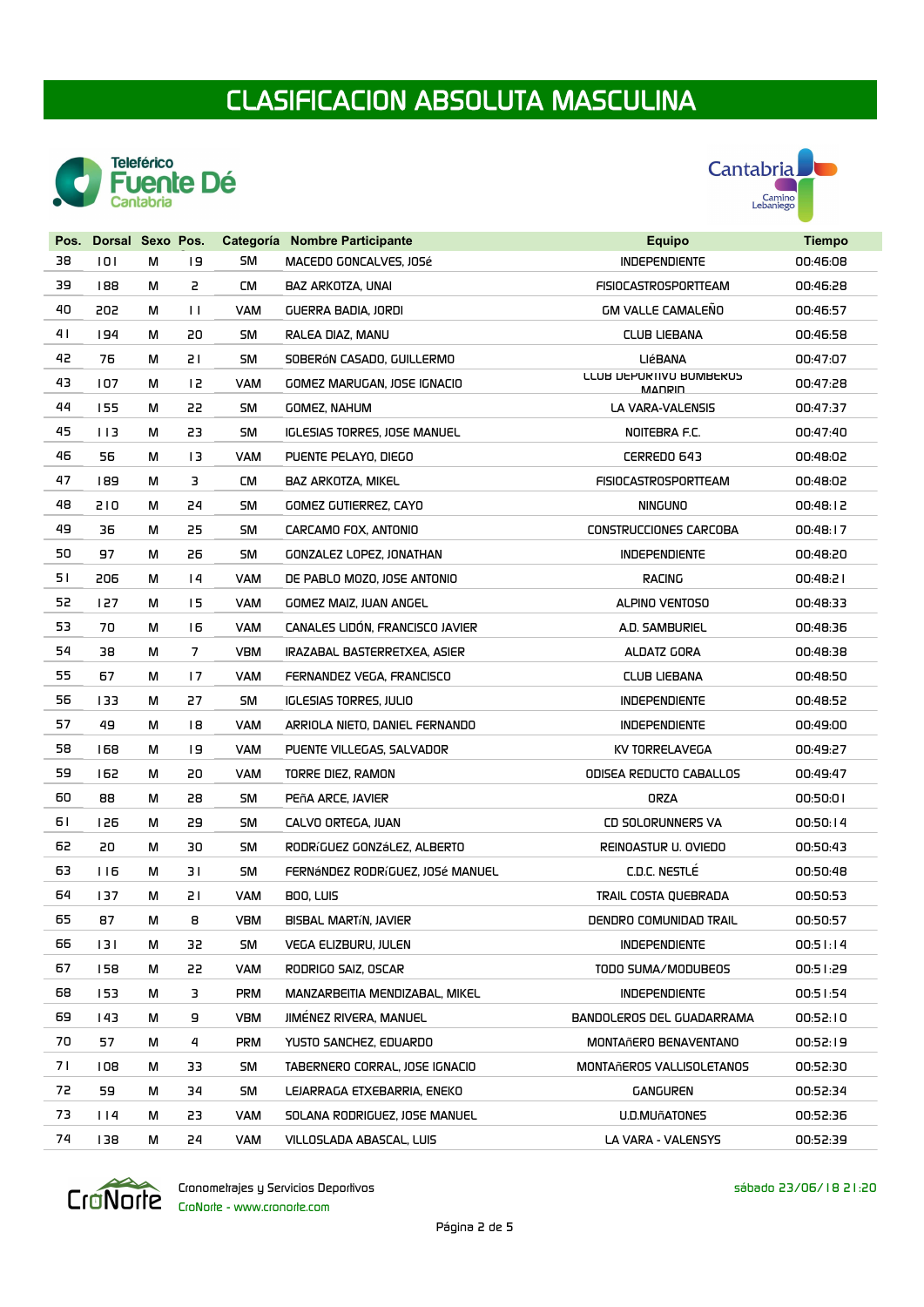



| Pos. | Dorsal Sexo Pos. |   |              |            | Categoría Nombre Participante    | <b>Equipo</b>                                   | <b>Tiempo</b> |
|------|------------------|---|--------------|------------|----------------------------------|-------------------------------------------------|---------------|
| 38   | 0                | М | 19           | SM         | MACEDO GONCALVES, JOSé           | <b>INDEPENDIENTE</b>                            | 00:46:08      |
| 39   | 188              | М | 2            | СM         | BAZ ARKOTZA, UNAI                | <b>FISIOCASTROSPORTTEAM</b>                     | 00:46:28      |
| 40   | 202              | М | $\mathbf{L}$ | VAM        | GUERRA BADIA, JORDI              | <b>GM VALLE CAMALENO</b>                        | 00:46:57      |
| 41   | 194              | М | 20           | 5M         | RALEA DIAZ, MANU                 | <b>CLUB LIEBANA</b>                             | 00:46:58      |
| 42   | 76               | М | 51           | 5M         | SOBERÓN CASADO, GUILLERMO        | LIÉBANA                                         | 00:47:07      |
| 43   | 107              | М | 12           | VAM        | GOMEZ MARUGAN, JOSE IGNACIO      | <b>LLUB DEFUKIIVU BUMBEKUS</b><br><b>MADRID</b> | 00:47:28      |
| 44   | 155              | М | 22           | SM         | <b>GOMEZ, NAHUM</b>              | LA VARA-VALENSIS                                | 00:47:37      |
| 45   | 113              | М | 23           | 5M         | IGLESIAS TORRES, JOSE MANUEL     | NOITEBRA F.C.                                   | 00:47:40      |
| 46   | 56               | М | 13           | VAM        | PUENTE PELAYO, DIEGO             | CERREDO 643                                     | 00:48:02      |
| 47   | 189              | М | з            | СM         | BAZ ARKOTZA, MIKEL               | <b>FISIOCASTROSPORTTEAM</b>                     | 00:48:02      |
| 48   | 210              | м | 24           | SM         | GOMEZ GUTIERREZ, CAYO            | <b>NINGUNO</b>                                  | 00:48:12      |
| 49   | 36               | М | 25           | 5M         | CARCAMO FOX, ANTONIO             | CONSTRUCCIONES CARCOBA                          | 00:48:17      |
| 50   | 97               | М | 26           | 5M         | GONZALEZ LOPEZ, JONATHAN         | <b>INDEPENDIENTE</b>                            | 00:48:20      |
| 51   | 206              | М | 14           | VAM        | DE PABLO MOZO, JOSE ANTONIO      | <b>RACING</b>                                   | 00:48:21      |
| 52   | 127              | М | 15           | VAM        | GOMEZ MAIZ, JUAN ANGEL           | ALPINO VENTOSO                                  | 00:48:33      |
| 53   | 70               | М | 16           | <b>VAM</b> | CANALES LIDÓN, FRANCISCO JAVIER  | A.D. SAMBURIEL                                  | 00:48:36      |
| 54   | 38               | М | 7            | <b>VBM</b> | IRAZABAL BASTERRETXEA, ASIER     | ALDATZ GORA                                     | 00:48:38      |
| 55   | 67               | М | 17           | VAM        | FERNANDEZ VEGA, FRANCISCO        | <b>CLUB LIEBANA</b>                             | 00:48:50      |
| 56   | 133              | м | 27           | SM         | IGLESIAS TORRES, JULIO           | <b>INDEPENDIENTE</b>                            | 00:48:52      |
| 57   | 49               | М | 18           | VAM        | ARRIOLA NIETO, DANIEL FERNANDO   | <b>INDEPENDIENTE</b>                            | 00:49:00      |
| 58   | 168              | М | 19           | VAM        | PUENTE VILLEGAS, SALVADOR        | KV TORRELAVEGA                                  | 00:49:27      |
| 59   | 162              | М | 20           | VAM        | TORRE DIEZ, RAMON                | ODISEA REDUCTO CABALLOS                         | 00:49:47      |
| 60   | 88               | М | 28           | SM         | PEÑA ARCE, JAVIER                | <b>ORZA</b>                                     | 00:50:01      |
| 61   | 126              | М | 29           | 5M         | CALVO ORTEGA, JUAN               | CD SOLORUNNERS VA                               | 00:50:14      |
| 62   | 20               | М | 30           | 5M         | RODRÍGUEZ GONZÁLEZ, ALBERTO      | REINOASTUR U. OVIEDO                            | 00:50:43      |
| 63   | 116              | М | 31           | <b>SM</b>  | FERNÁNDEZ RODRÍGUEZ, JOSÉ MANUEL | C.D.C. NESTLE                                   | 00:50:48      |
| 64   | 137              | м | 21           | VAM        | <b>BOO, LUIS</b>                 | TRAIL COSTA QUEBRADA                            | 00:50:53      |
| 65   | 87               | М | 8            | VBM        | BISBAL MARTÍN, JAVIER            | DENDRO COMUNIDAD TRAIL                          | 00:50:57      |
| 66   | 131              | М | 32.          | SM.        | VEGA ELIZBURU, JULEN             | <b>INDEPENDIENTE</b>                            | 00:51:14      |
| 67   | 158              | м | 22.          | VAM        | RODRIGO SAIZ, OSCAR              | TODO SUMA/MODUBEOS                              | 00:51:29      |
| 68   | 153              | м | 3.           | <b>PRM</b> | MANZARBEITIA MENDIZABAL, MIKEL   | <b>INDEPENDIENTE</b>                            | 00:51:54      |
| 69   | 143              | М | 9            | VBM        | JIMENEZ RIVERA, MANUEL           | BANDOLEROS DEL GUADARRAMA                       | 00:52:10      |
| 70   | 57               | м | 4            | PRM        | YUSTO SANCHEZ, EDUARDO           | MONTAñERO BENAVENTANO                           | 00:52:19      |
| 71   | 108              | м | 33           | 5M         | TABERNERO CORRAL, JOSE IGNACIO   | MONTAñEROS VALLISOLETANOS                       | 00:52:30      |
| 72   | 59               | м | 34           | SM         | LEJARRAGA ETXEBARRIA, ENEKO      | <b>GANGUREN</b>                                 | 00:52:34      |
| 73   | 114              | м | 23           | VAM        | SOLANA RODRIGUEZ, JOSE MANUEL    | U.D.MUñATONES                                   | 00:52:36      |
| 74   | 138              | M | 24           | VAM        | VILLOSLADA ABASCAL, LUIS         | LA VARA - VALENSYS                              | 00:52:39      |

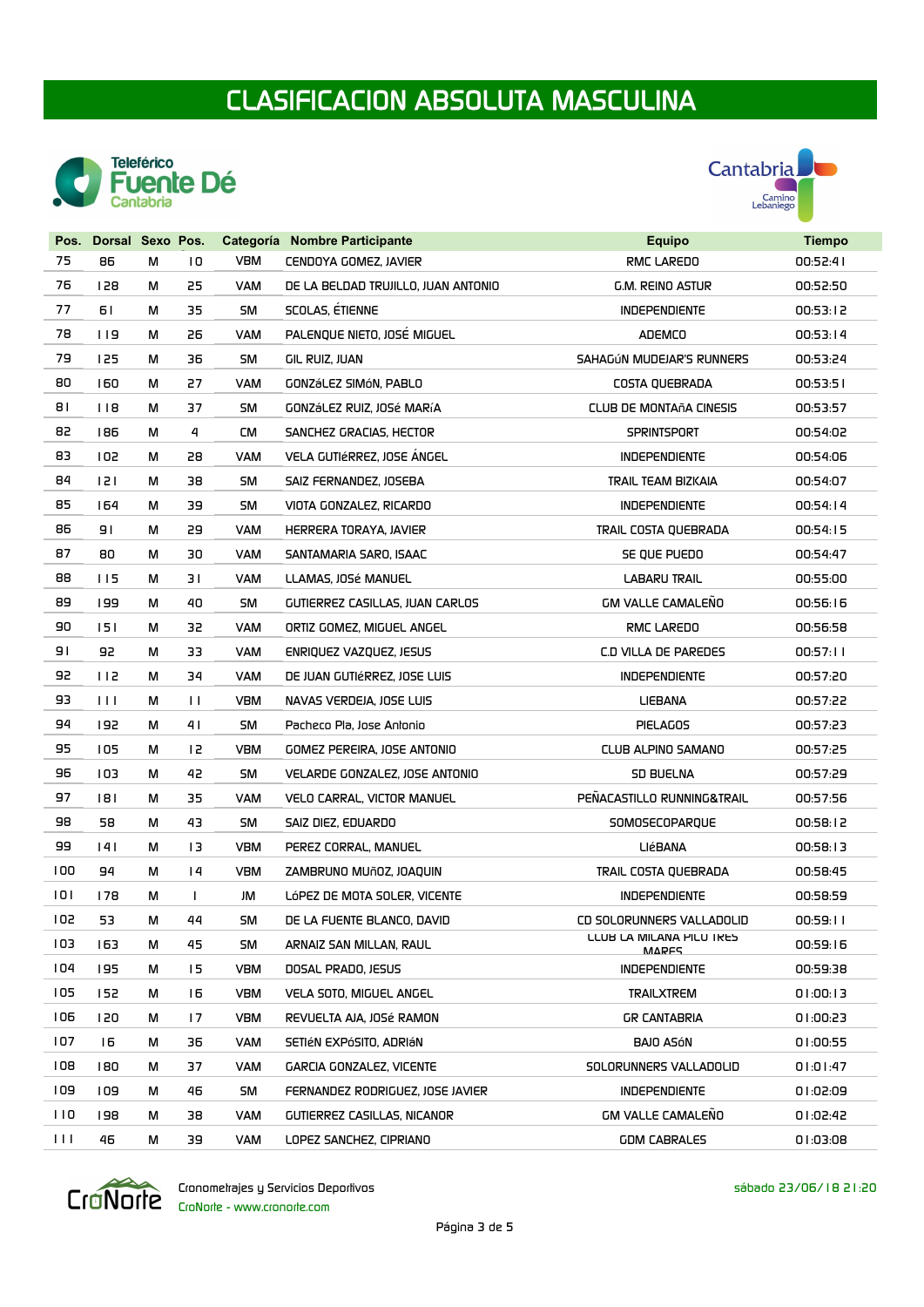



| Pos.   | Dorsal Sexo Pos. |   |              |            | Categoría Nombre Participante       | <b>Equipo</b>                            | <b>Tiempo</b> |
|--------|------------------|---|--------------|------------|-------------------------------------|------------------------------------------|---------------|
| 75     | 86               | М | 10           | <b>VBM</b> | CENDOYA GOMEZ, JAVIER               | RMC LAREDO                               | 00:52:41      |
| 76     | 128              | м | 25           | <b>VAM</b> | DE LA BELDAD TRUJILLO, JUAN ANTONIO | G.M. REINO ASTUR                         | 00:52:50      |
| 77     | 61               | м | 35           | <b>SM</b>  | SCOLAS, ÉTIENNE                     | <b>INDEPENDIENTE</b>                     | 00:53:12      |
| 78     | 119              | м | 26           | <b>VAM</b> | PALENQUE NIETO, JOSÉ MIGUEL         | ADEMCO                                   | 00:53:14      |
| 79     | 125              | М | 36           | 5M         | GIL RUIZ, JUAN                      | SAHAGÚN MUDEJAR'S RUNNERS                | 00:53:24      |
| 80     | 160              | м | 27           | <b>VAM</b> | GONZáLEZ SIMÓN, PABLO               | COSTA QUEBRADA                           | 00:53:51      |
| 81     | 118              | м | 37           | SM         | GONZáLEZ RUIZ, JOSé MARíA           | <b>CLUB DE MONTAÑA CINESIS</b>           | 00:53:57      |
| 82     | 186              | м | 4            | СM         | SANCHEZ GRACIAS, HECTOR             | <b>SPRINTSPORT</b>                       | 00:54:02      |
| 83     | 102              | м | 28           | VAM        | VELA GUTIÉRREZ, JOSE ANGEL          | <b>INDEPENDIENTE</b>                     | 00:54:06      |
| 84     | 2                | М | 38           | 5M         | SAIZ FERNANDEZ, JOSEBA              | TRAIL TEAM BIZKAIA                       | 00:54:07      |
| 85     | 164              | м | 39           | SM         | VIOTA GONZALEZ, RICARDO             | <b>INDEPENDIENTE</b>                     | 00:54:14      |
| 86     | 91               | м | 29           | VAM        | HERRERA TORAYA, JAVIER              | TRAIL COSTA QUEBRADA                     | 00:54:15      |
| 87     | 80               | М | 30           | <b>VAM</b> | SANTAMARIA SARO, ISAAC              | SE QUE PUEDO                             | 00:54:47      |
| 88     | 115              | м | 31           | VAM        | LLAMAS, JOSé MANUEL                 | <b>LABARU TRAIL</b>                      | 00:55:00      |
| 89     | 199              | м | 40           | SM         | GUTIERREZ CASILLAS, JUAN CARLOS     | <b>GM VALLE CAMALENO</b>                 | 00:56:16      |
| 90     | 151              | м | 32           | VAM        | ORTIZ GOMEZ, MIGUEL ANGEL           | RMC LAREDO                               | 00:56:58      |
| 91     | 92               | м | 33           | <b>VAM</b> | ENRIQUEZ VAZQUEZ, JESUS             | <b>C.D VILLA DE PAREDES</b>              | 00:57:11      |
| 92     | 112              | м | 34           | <b>VAM</b> | DE JUAN GUTIÉRREZ, JOSE LUIS        | <b>INDEPENDIENTE</b>                     | 00:57:20      |
| 93     | 111              | м | $\mathbf{H}$ | <b>VBM</b> | NAVAS VERDEJA, JOSE LUIS            | <b>LIEBANA</b>                           | 00:57:22      |
| 94     | 192              | м | 41           | SM         | Pacheco Pla, Jose Antonio           | PIELAGOS                                 | 00:57:23      |
| 95     | 105              | М | 12           | <b>VBM</b> | GOMEZ PEREIRA, JOSE ANTONIO         | <b>CLUB ALPINO SAMANO</b>                | 00:57:25      |
| 96     | 103              | м | 42           | SM         | VELARDE GONZALEZ, JOSE ANTONIO      | <b>SD BUELNA</b>                         | 00:57:29      |
| 97     | 181              | М | 35           | <b>VAM</b> | <b>VELO CARRAL, VICTOR MANUEL</b>   | PEÑACASTILLO RUNNING&TRAIL               | 00:57:56      |
| 98     | 58               | м | 43           | SM         | SAIZ DIEZ, EDUARDO                  | SOMOSECOPARQUE                           | 00:58:12      |
| 99     | 141              | м | 13           | <b>VBM</b> | PEREZ CORRAL, MANUEL                | <b>LIÉBANA</b>                           | 00:58:13      |
| 100    | 94               | м | 14           | <b>VBM</b> | ZAMBRUNO MUñOZ, JOAQUIN             | TRAIL COSTA QUEBRADA                     | 00:58:45      |
| 101    | 178              | м | $\mathbf{I}$ | JM         | LÓPEZ DE MOTA SOLER, VICENTE        | <b>INDEPENDIENTE</b>                     | 00:58:59      |
| 102    | 53               | М | 44           | SM.        | DE LA FUENTE BLANCO, DAVID          | CD SOLORUNNERS VALLADOLID                | 00:59:11      |
| 103    | 163              | М | 45           | 5M         | ARNAIZ SAN MILLAN, RAUL             | LLUB LA MILANA PILU IRES<br><b>MARES</b> | 00:59:16      |
| 104    | 195              | М | 15           | <b>VBM</b> | DOSAL PRADO, JESUS                  | <b>INDEPENDIENTE</b>                     | 00:59:38      |
| 105    | 152              | М | 16           | <b>VBM</b> | VELA SOTO, MIGUEL ANGEL             | <b>TRAILXTREM</b>                        | 01:00:13      |
| 106    | 120              | м | 17           | <b>VBM</b> | REVUELTA AJA, JOSé RAMON            | <b>GR CANTABRIA</b>                      | 01:00:23      |
| 107    | 16               | м | 36           | VAM        | SETIÉN EXPÓSITO, ADRIÁN             | BAJO ASóN                                | 01:00:55      |
| 108    | 180              | M | 37           | VAM        | GARCIA GONZALEZ, VICENTE            | SOLORUNNERS VALLADOLID                   | 01:01:47      |
| 109    | 109              | м | 46           | SM         | FERNANDEZ RODRIGUEZ, JOSE JAVIER    | <b>INDEPENDIENTE</b>                     | 01:02:09      |
| 110    | 198              | М | 38           | VAM        | GUTIERREZ CASILLAS, NICANOR         | <b>GM VALLE CAMALEÑO</b>                 | 01:02:42      |
| $\Box$ | 46               | M | 39           | VAM        | LOPEZ SANCHEZ, CIPRIANO             | <b>GDM CABRALES</b>                      | 01:03:08      |

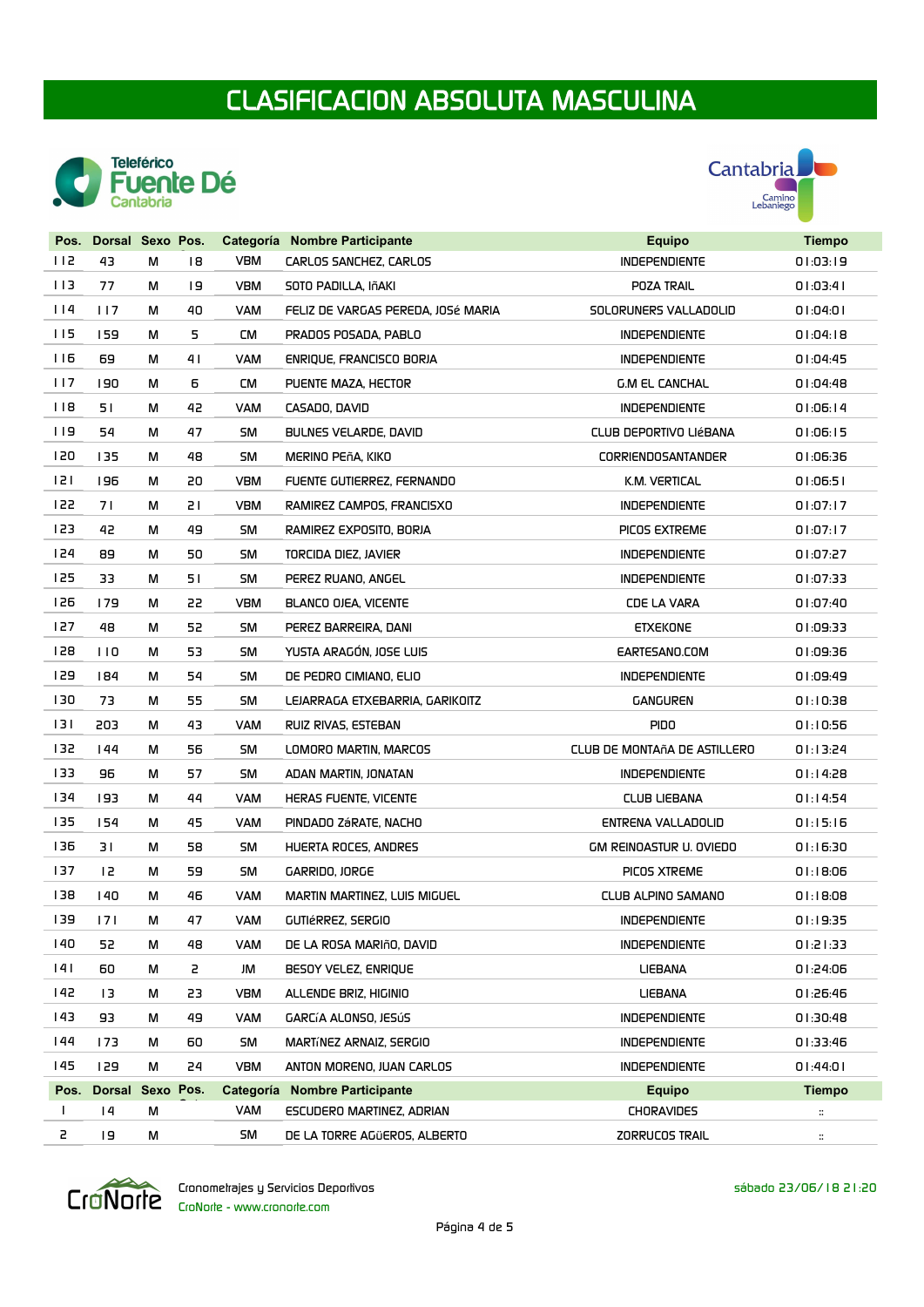



| Pos. | Dorsal Sexo Pos. |           |    |            | Categoría Nombre Participante      | <b>Equipo</b>                  | <b>Tiempo</b>         |
|------|------------------|-----------|----|------------|------------------------------------|--------------------------------|-----------------------|
| 112  | 43               | М         | 18 | <b>VBM</b> | CARLOS SANCHEZ, CARLOS             | <b>INDEPENDIENTE</b>           | 01:03:19              |
| 113  | 77               | м         | 19 | <b>VBM</b> | SOTO PADILLA, IñAKI                | POZA TRAIL                     | 01:03:41              |
| 114  | 117              | м         | 40 | <b>VAM</b> | FELIZ DE VARGAS PEREDA, JOSé MARIA | SOLORUNERS VALLADOLID          | 10:04:01              |
| 115  | 159              | м         | 5  | СM         | PRADOS POSADA, PABLO               | <b>INDEPENDIENTE</b>           | 01:04:18              |
| 116  | 69               | М         | 41 | <b>VAM</b> | ENRIQUE, FRANCISCO BORJA           | <b>INDEPENDIENTE</b>           | 01:04:45              |
| 117  | 190              | М         | 6  | СM         | PUENTE MAZA, HECTOR                | <b>G.M EL CANCHAL</b>          | 01:04:48              |
| 118  | 51               | М         | 42 | VAM        | CASADO, DAVID                      | <b>INDEPENDIENTE</b>           | 01:06:14              |
| 119  | 54               | м         | 47 | SM         | BULNES VELARDE, DAVID              | CLUB DEPORTIVO LIÉBANA         | 01:06:15              |
| 150  | 135              | М         | 48 | SM         | MERINO PEñA, KIKO                  | <b>CORRIENDOSANTANDER</b>      | 01:06:36              |
| 121  | 196              | М         | 20 | <b>VBM</b> | FUENTE GUTIERREZ, FERNANDO         | K.M. VERTICAL                  | 01:06:51              |
| 122  | 71               | м         | 51 | <b>VBM</b> | RAMIREZ CAMPOS, FRANCISXO          | <b>INDEPENDIENTE</b>           | 01:07:17              |
| 123  | 42               | м         | 49 | 5M         | RAMIREZ EXPOSITO, BORJA            | PICOS EXTREME                  | 01:07:17              |
| 124  | 89               | М         | 50 | 5M         | <b>TORCIDA DIEZ, JAVIER</b>        | <b>INDEPENDIENTE</b>           | 01:07:27              |
| 125  | 33               | м         | 51 | SM         | PEREZ RUANO, ANGEL                 | <b>INDEPENDIENTE</b>           | 01:07:33              |
| 126  | 179              | М         | 22 | <b>VBM</b> | BLANCO OJEA, VICENTE               | <b>CDE LA VARA</b>             | 01:07:40              |
| 127  | 48               | м         | 52 | 5M         | PEREZ BARREIRA, DANI               | <b>ETXEKONE</b>                | 01:09:33              |
| 128  | 110              | М         | 53 | 5M         | YUSTA ARAGÓN, JOSE LUIS            | EARTESANO.COM                  | 01:09:36              |
| 129  | 184              | м         | 54 | SM         | DE PEDRO CIMIANO, ELIO             | <b>INDEPENDIENTE</b>           | 01:09:49              |
| 130  | 73               | м         | 55 | <b>SM</b>  | LEJARRAGA ETXEBARRIA, GARIKOITZ    | <b>GANGUREN</b>                | 01:10:38              |
| 131  | 203              | м         | 43 | VAM        | RUIZ RIVAS, ESTEBAN                | <b>PIDO</b>                    | 01:10:56              |
| 132  | 144              | М         | 56 | 5M         | LOMORO MARTIN, MARCOS              | CLUB DE MONTAñA DE ASTILLERO   | 01:13:24              |
| 133  | 96               | м         | 57 | 5M         | ADAN MARTIN, JONATAN               | <b>INDEPENDIENTE</b>           | 01:14:28              |
| 134  | 193              | М         | 44 | <b>VAM</b> | <b>HERAS FUENTE, VICENTE</b>       | <b>CLUB LIEBANA</b>            | 01:14:54              |
| 135  | 154              | м         | 45 | VAM        | PINDADO ZáRATE, NACHO              | ENTRENA VALLADOLID             | 01:15:16              |
| 136  | 31               | М         | 58 | SM         | HUERTA ROCES, ANDRES               | <b>GM REINOASTUR U. OVIEDO</b> | 01:16:30              |
| 137  | 12               | М         | 59 | 5M         | GARRIDO, JORGE                     | PICOS XTREME                   | 01:18:06              |
| 138  | 140              | м         | 46 | <b>VAM</b> | MARTIN MARTINEZ, LUIS MIGUEL       | <b>CLUB ALPINO SAMANO</b>      | 0! : 18:08            |
| 139  | 171              | M         | 47 | <b>VAM</b> | GUTIÉRREZ, SERGIO                  | <b>INDEPENDIENTE</b>           | 01:19:35              |
| 140  | 52               | М         | 48 | <b>VAM</b> | DE LA ROSA MARIñO, DAVID           | <b>INDEPENDIENTE</b>           | 01:21:33              |
| 4    | 60               | М         | 2  | JM         | BESOY VELEZ, ENRIQUE               | <b>LIEBANA</b>                 | 01:24:06              |
| 142  | 13               | М         | 23 | <b>VBM</b> | ALLENDE BRIZ, HIGINIO              | <b>LIEBANA</b>                 | 01:26:46              |
| 143  | 93               | М         | 49 | VAM        | GARCÍA ALONSO, JESÚS               | <b>INDEPENDIENTE</b>           | 01:30:48              |
| 144  | 173              | М         | 60 | SM         | MARTÍNEZ ARNAIZ, SERGIO            | <b>INDEPENDIENTE</b>           | 01:33:46              |
| 145  | 129              | M         | 24 | <b>VBM</b> | ANTON MORENO, JUAN CARLOS          | <b>INDEPENDIENTE</b>           | 0!:44:01              |
| Pos. | <b>Dorsal</b>    | Sexo Pos. |    |            | Categoría Nombre Participante      | <b>Equipo</b>                  | <b>Tiempo</b>         |
| L    | 4                | М         |    | VAM        | ESCUDERO MARTINEZ, ADRIAN          | <b>CHORAVIDES</b>              | $\mathbb{Z}$          |
| 2    | 19               | М         |    | <b>SM</b>  | DE LA TORRE AGÜEROS, ALBERTO       | ZORRUCOS TRAIL                 | $\mathbb{Z}^{\times}$ |



CroNorte - www.cronorte.com Cronometrajes y Servicios Deportivos sábado 23/06/18 21:20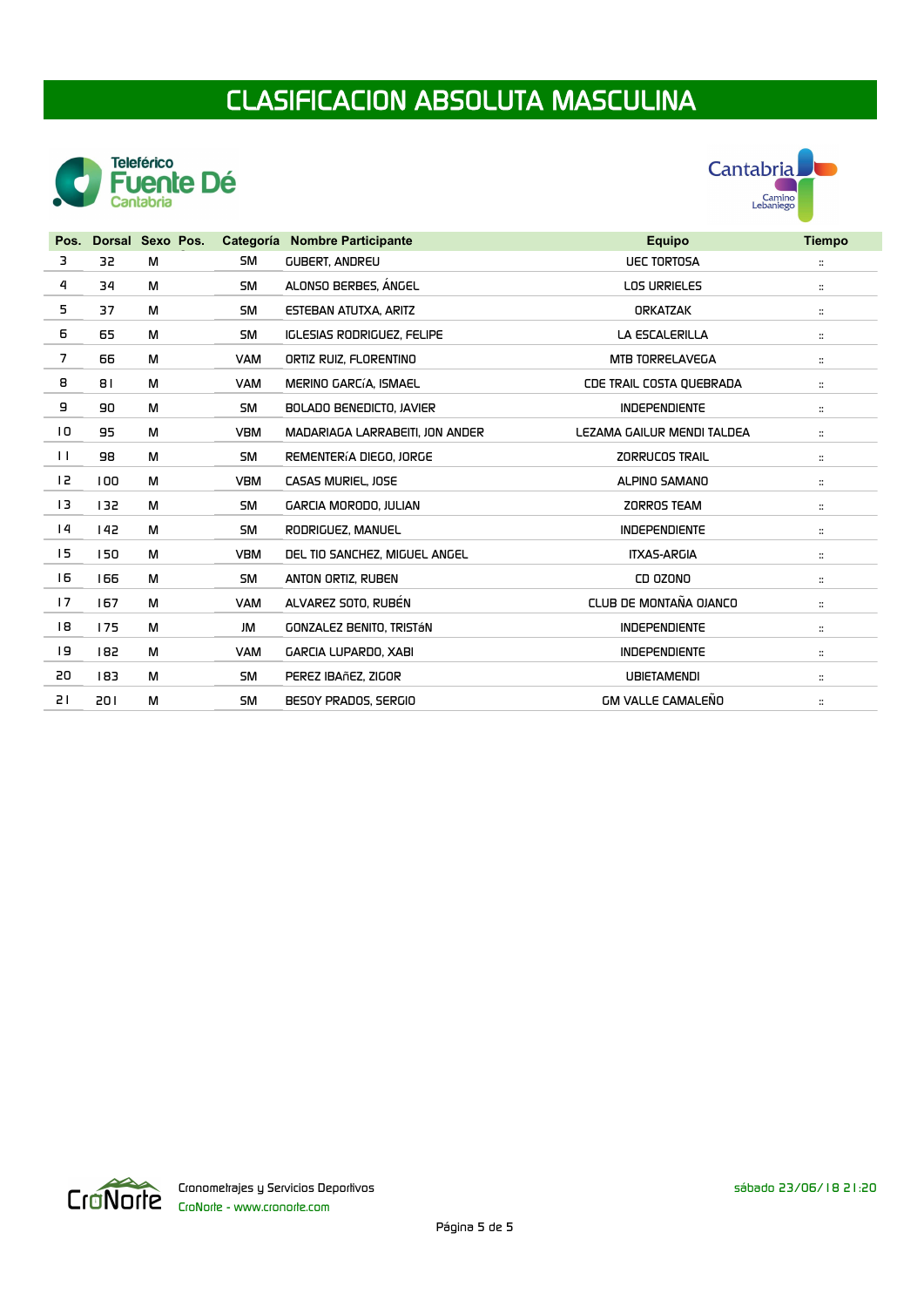



| Pos.           | <b>Dorsal</b> | Sexo Pos. |            | Categoría Nombre Participante   | <b>Equipo</b>              | <b>Tiempo</b>        |
|----------------|---------------|-----------|------------|---------------------------------|----------------------------|----------------------|
| з              | 32            | M         | 5M         | <b>GUBERT, ANDREU</b>           | <b>UEC TORTOSA</b>         | $\ddot{a}$           |
| 4              | 34            | M         | <b>SM</b>  | ALONSO BERBES, ANGEL            | <b>LOS URRIELES</b>        | $\ddot{a}$           |
| 5              | 37            | M         | <b>SM</b>  | ESTEBAN ATUTXA, ARITZ           | <b>ORKATZAK</b>            | $\ddot{a}$           |
| 6              | 65            | M         | SM.        | IGLESIAS RODRIGUEZ, FELIPE      | LA ESCALERILLA             | $\ddot{a}$           |
| $\overline{7}$ | 66            | M         | <b>VAM</b> | ORTIZ RUIZ, FLORENTINO          | MTB TORRELAVEGA            | $\ddot{a}$           |
| 8              | 81            | M         | <b>VAM</b> | MERINO GARCÍA, ISMAEL           | CDE TRAIL COSTA OUEBRADA   | $\ddot{ }$           |
| 9              | 90            | M         | <b>SM</b>  | BOLADO BENEDICTO, JAVIER        | <b>INDEPENDIENTE</b>       | $\ddot{a}$           |
| 10             | 95            | м         | <b>VBM</b> | MADARIAGA LARRABEITI, JON ANDER | LEZAMA GAILUR MENDI TALDEA | $\ddot{a}$           |
| $\mathbf{L}$   | 98            | M         | SM         | REMENTERÍA DIEGO, JORGE         | ZORRUCOS TRAIL             | $\ddot{a}$           |
| 12             | 100           | M         | <b>VBM</b> | CASAS MURIEL, JOSE              | ALPINO SAMANO              | $\ddot{}}$           |
| 13             | 132           | M         | <b>SM</b>  | GARCIA MORODO, JULIAN           | ZORROS TEAM                | $\ddot{a}$           |
| 14             | 142           | M         | SM.        | RODRIGUEZ, MANUEL               | <b>INDEPENDIENTE</b>       | $\ddot{}}$           |
| 15             | 150           | M         | <b>VBM</b> | DEL TIO SANCHEZ, MIGUEL ANGEL   | <b>ITXAS-ARGIA</b>         | $\ddot{a}$           |
| 16             | 166           | М         | 5M         | ANTON ORTIZ, RUBEN              | CD 0Z0NO                   | $\ddot{\phantom{a}}$ |
| 17             | 167           | M         | <b>VAM</b> | ALVAREZ 50TO, RUBEN             | CLUB DE MONTAÑA OJANCO     | $\ddot{ }$           |
| 18             | 175           | M         | JM         | GONZALEZ BENITO, TRISTÁN        | <b>INDEPENDIENTE</b>       | $\ddot{\phantom{a}}$ |
| 19             | 182           | М         | <b>VAM</b> | GARCIA LUPARDO, XABI            | <b>INDEPENDIENTE</b>       | $\ddot{}}$           |
| 20             | 183           | M         | SM         | PEREZ IBAñEZ, ZIGOR             | <b>UBIETAMENDI</b>         | $\ddot{a}$           |
| 51             | 201           | М         | SM         | BESOY PRADOS, SERGIO            | <b>GM VALLE CAMALENO</b>   | $\ddot{ }$           |

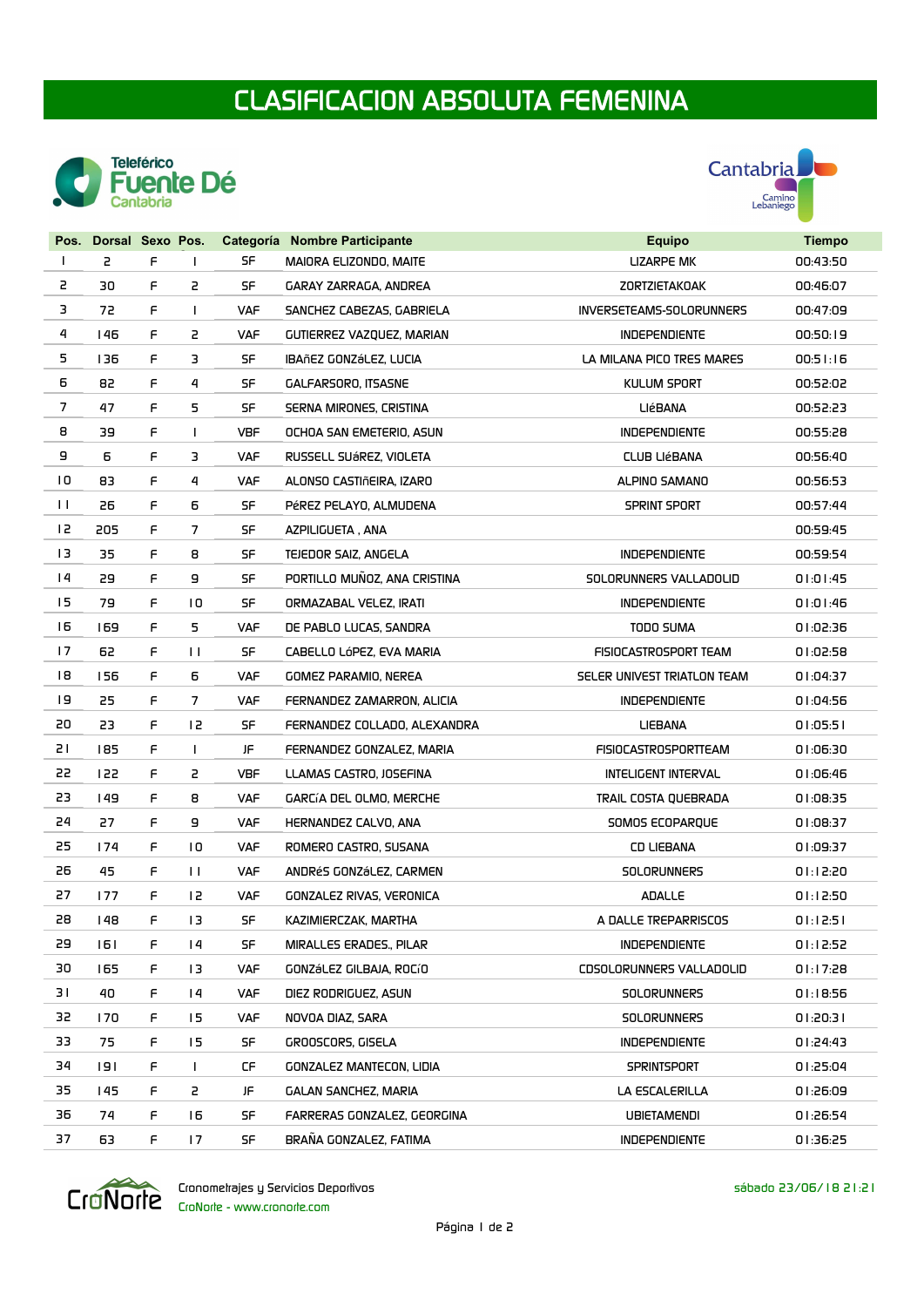# CLASIFICACION ABSOLUTA FEMENINA





| Pos.           | Dorsal Sexo Pos. |    |                |            | Categoría Nombre Participante | <b>Equipo</b>               | <b>Tiempo</b> |
|----------------|------------------|----|----------------|------------|-------------------------------|-----------------------------|---------------|
| $\mathbf{I}$   | 2                | F  | I.             | SF         | MAIORA ELIZONDO, MAITE        | <b>LIZARPE MK</b>           | 00:43:50      |
| 2              | 30               | F  | 2              | SF         | GARAY ZARRAGA, ANDREA         | ZORTZIETAKOAK               | 00:46:07      |
| 3              | 72               | F  | $\mathbf{I}$   | <b>VAF</b> | SANCHEZ CABEZAS, GABRIELA     | INVERSETEAMS-SOLORUNNERS    | 00:47:09      |
| 4              | 146              | F. | 2              | <b>VAF</b> | GUTIERREZ VAZQUEZ, MARIAN     | <b>INDEPENDIENTE</b>        | 00:50:19      |
| 5              | 136              | F  | 3              | SF         | IBAñEZ GONZáLEZ, LUCIA        | LA MILANA PICO TRES MARES   | 00:51:16      |
| 6              | 82               | F. | 4              | SF         | GALFARSORO, ITSASNE           | KULUM SPORT                 | 00:52:02      |
| $\overline{7}$ | 47               | F. | 5              | SF         | SERNA MIRONES, CRISTINA       | <b>LIÉBANA</b>              | 00:52:23      |
| 8              | 39               | F  | $\mathsf{I}$   | <b>VBF</b> | OCHOA SAN EMETERIO, ASUN      | <b>INDEPENDIENTE</b>        | 00:55:28      |
| 9              | 6                | F  | 3              | <b>VAF</b> | RUSSELL SUáREZ, VIOLETA       | <b>CLUB LIÉBANA</b>         | 00:56:40      |
| 10             | 83               | F  | 4              | <b>VAF</b> | ALONSO CASTIñEIRA, IZARO      | ALPINO SAMANO               | 00:56:53      |
| $\mathbf{H}$   | 26               | F. | 6              | SF         | PéREZ PELAYO, ALMUDENA        | <b>SPRINT SPORT</b>         | 00:57:44      |
| 12             | 205              | F. | $\overline{7}$ | SF         | AZPILIGUETA, ANA              |                             | 00:59:45      |
| 13             | 35               | F  | 8              | SF         | TEJEDOR SAIZ, ANGELA          | <b>INDEPENDIENTE</b>        | 00:59:54      |
| 4              | 29               | F  | 9              | SF         | PORTILLO MUÑOZ, ANA CRISTINA  | SOLORUNNERS VALLADOLID      | 01:01:45      |
| 15             | 79               | F  | 10             | SF         | ORMAZABAL VELEZ, IRATI        | <b>INDEPENDIENTE</b>        | 01:01:46      |
| 16             | 169              | F. | 5              | <b>VAF</b> | DE PABLO LUCAS, SANDRA        | TODO SUMA                   | 01:02:36      |
| 17             | 62               | F. | $\mathbf{H}$   | 5F         | CABELLO LóPEZ, EVA MARIA      | FISIOCASTROSPORT TEAM       | 01:02:58      |
| 18             | 156              | F  | 6              | <b>VAF</b> | GOMEZ PARAMIO, NEREA          | SELER UNIVEST TRIATLON TEAM | 01:04:37      |
| 19             | 25               | F. | $\overline{7}$ | <b>VAF</b> | FERNANDEZ ZAMARRON, ALICIA    | <b>INDEPENDIENTE</b>        | 01:04:56      |
| 20             | 23               | F. | 12             | SF         | FERNANDEZ COLLADO, ALEXANDRA  | LIEBANA                     | 01:05:51      |
| 21             | 185              | F  | $\mathsf{I}$   | JF         | FERNANDEZ GONZALEZ, MARIA     | <b>FISIOCASTROSPORTTEAM</b> | 01:06:30      |
| 22             | 122              | F  | 2              | <b>VBF</b> | LLAMAS CASTRO, JOSEFINA       | INTELIGENT INTERVAL         | 01:06:46      |
| 23             | 149              | F  | 8              | <b>VAF</b> | GARCÍA DEL OLMO, MERCHE       | TRAIL COSTA QUEBRADA        | 01:08:35      |
| 24             | 27               | F. | 9              | <b>VAF</b> | HERNANDEZ CALVO, ANA          | SOMOS ECOPARQUE             | 01:08:37      |
| 25             | 174              | F. | 10             | <b>VAF</b> | ROMERO CASTRO, SUSANA         | <b>CD LIEBANA</b>           | 01:09:37      |
| 26             | 45               | F. | $\mathbf{H}$   | <b>VAF</b> | ANDRéS GONZáLEZ, CARMEN       | <b>SOLORUNNERS</b>          | 01:12:20      |
| 27             | 177              | F  | 12             | <b>VAF</b> | GONZALEZ RIVAS, VERONICA      | <b>ADALLE</b>               | 01:12:50      |
| 28             | 148              | F. | 13             | 5F         | KAZIMIERCZAK. MARTHA          | A DALLE TREPARRISCOS        | 01:12:51      |
| 29             | 161              | F. | 14             | SF         | MIRALLES ERADES., PILAR       | <b>INDEPENDIENTE</b>        | 01:12:52      |
| 30             | 165              | F. | 13.            | <b>VAF</b> | GONZáLEZ GILBAJA, ROCÍO       | CDSOLORUNNERS VALLADOLID    | 01:17:28      |
| 31             | 40               | F. | 4              | <b>VAF</b> | DIEZ RODRIGUEZ, ASUN          | <b>SOLORUNNERS</b>          | 01:18:56      |
| 32             | 170              | F. | 15.            | <b>VAF</b> | NOVOA DIAZ, SARA              | <b>SOLORUNNERS</b>          | 01:20:31      |
| 33             | 75               | F. | 15             | SF         | GROOSCORS, GISELA             | <b>INDEPENDIENTE</b>        | 01:24:43      |
| 34             | 191              | F. |                | CF         | GONZALEZ MANTECON, LIDIA      | <b>SPRINTSPORT</b>          | 01:25:04      |
| 35             | 145              | F. | 2              | JF         | GALAN SANCHEZ, MARIA          | LA ESCALERILLA              | 01:26:09      |
| 36             | 74               | F. | 16             | 5F         | FARRERAS GONZALEZ, GEORGINA   | <b>UBIETAMENDI</b>          | 01:26:54      |
| 37             | 63               | F. | 17             | <b>SF</b>  | BRAÑA GONZALEZ, FATIMA        | <b>INDEPENDIENTE</b>        | 01:36:25      |



Cronometrajes y Servicios De<br>Cronorte - www.cronorte.com Cronometrajes y Servicios Deportivos sábado 23/06/18 21:21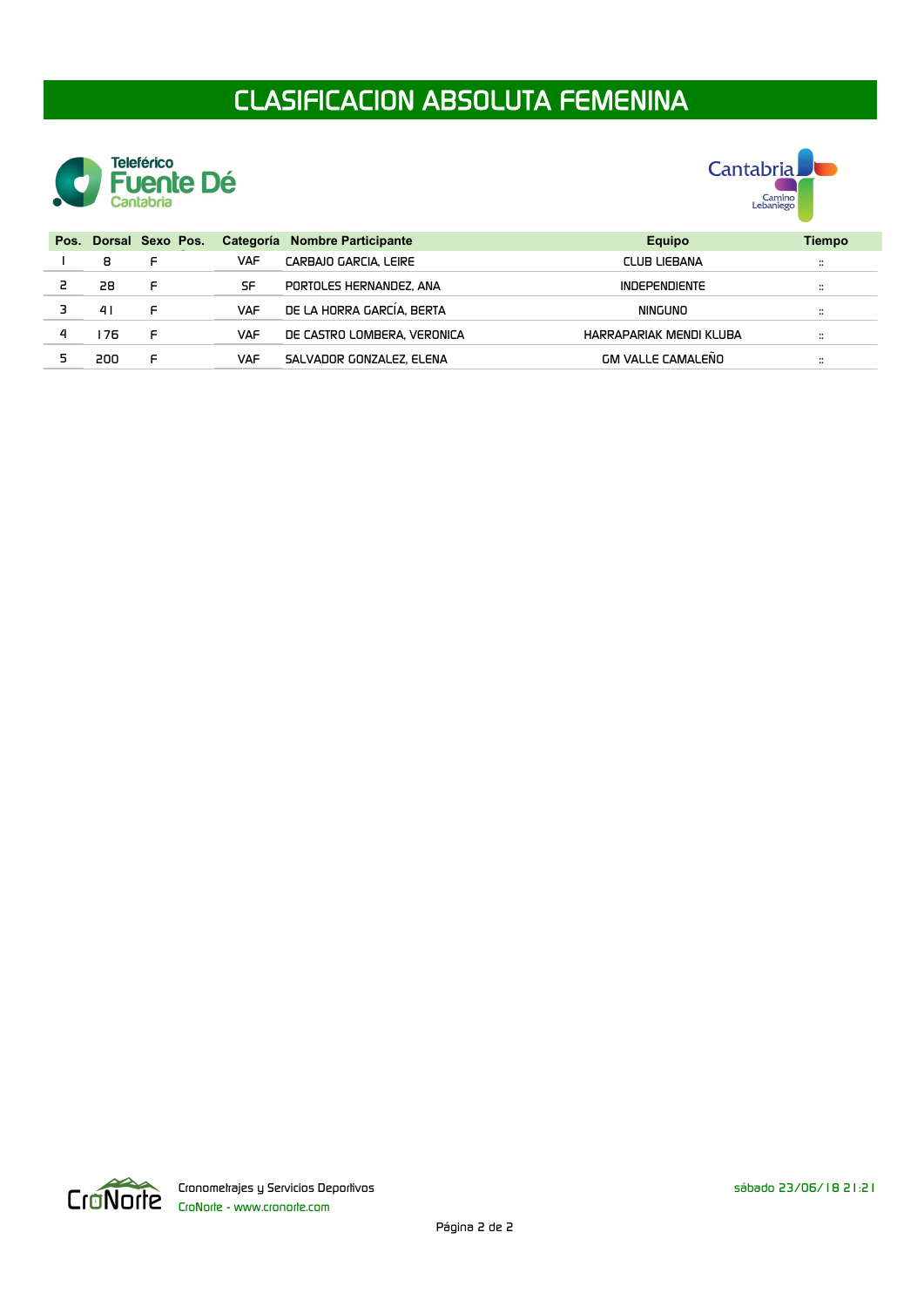# CLASIFICACION ABSOLUTA FEMENINA





| Pos. |     | Dorsal Sexo Pos. |            | Categoría Nombre Participante | <b>Equipo</b>            | Tiempo                                   |
|------|-----|------------------|------------|-------------------------------|--------------------------|------------------------------------------|
|      | 8   |                  | <b>VAF</b> | CARBAJO GARCIA, LEIRE         | <b>CLUB LIEBANA</b>      | $\ddot{}}$                               |
|      | 28  | F                | 5F         | PORTOLES HERNANDEZ, ANA       | <b>INDEPENDIENTE</b>     | $\bullet\bullet$<br>$\ddotsc$            |
|      | 41  | F                | <b>VAF</b> | DE LA HORRA GARCIA, BERTA     | <b>NINGUNO</b>           | $\bullet\bullet$<br>$\ddotsc$            |
|      | -76 | F                | <b>VAF</b> | DE CASTRO LOMBERA, VERONICA   | HARRAPARIAK MENDI KLUBA  | $\bullet\bullet$<br>$\dddot{\bullet}$    |
|      | 200 |                  | VAF        | SALVADOR GONZALEZ, ELENA      | <b>GM VALLE CAMALENO</b> | $\bullet\bullet$<br>$\ddot{\phantom{0}}$ |

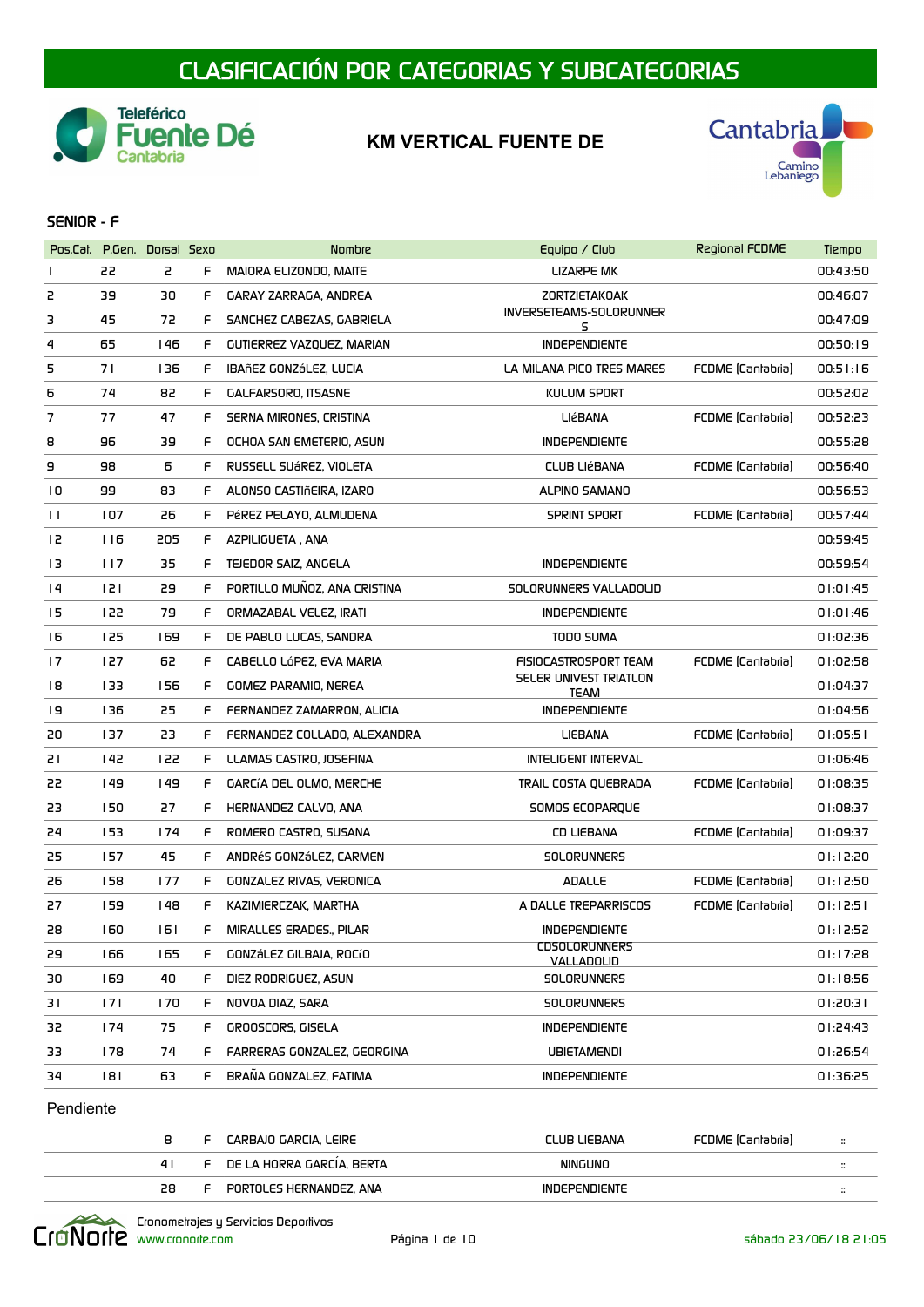

## KM VERTICAL FUENTE DE



#### SENIOR - F

|         | Pos.Cal. P.Gen. Dorsal Sexo |     |    | <b>Nombre</b>                | Equipo / Club                                | Regional FCDME           | Tiempo   |
|---------|-----------------------------|-----|----|------------------------------|----------------------------------------------|--------------------------|----------|
|         | 22                          | 2   | F  | MAIORA ELIZONDO, MAITE       | <b>LIZARPE MK</b>                            |                          | 00:43:50 |
| 2       | 39                          | 30  | F  | <b>GARAY ZARRAGA, ANDREA</b> | ZORTZIETAKOAK                                |                          | 00:46:07 |
| з       | 45                          | 72  | F  | SANCHEZ CABEZAS, GABRIELA    | INVERSETEAMS-SOLORUNNER<br>s                 |                          | 00:47:09 |
| 4       | 65                          | 146 | F  | GUTIERREZ VAZOUEZ, MARIAN    | <b>INDEPENDIENTE</b>                         |                          | 00:50:19 |
| 5       | 71                          | 136 | F  | IBAñEZ GONZáLEZ, LUCIA       | LA MILANA PICO TRES MARES                    | FCDME (Cantabria)        | 00:51:16 |
| 6       | 74                          | 82  | F  | GALFARSORO, ITSASNE          | <b>KULUM SPORT</b>                           |                          | 00:52:02 |
| 7       | 77                          | 47  | F. | SERNA MIRONES, CRISTINA      | <b>LIÉBANA</b>                               | <b>FCDME</b> (Cantabria) | 00:52:23 |
| 8       | 96                          | 39  | F  | OCHOA SAN EMETERIO, ASUN     | <b>INDEPENDIENTE</b>                         |                          | 00:55:28 |
| 9       | 98                          | 6   | F  | RUSSELL SUáREZ, VIOLETA      | <b>CLUB LIÉBANA</b>                          | FCDME (Cantabria)        | 00:56:40 |
| 10      | 99                          | 83  | F  | ALONSO CASTIÑEIRA, IZARO     | ALPINO SAMANO                                |                          | 00:56:53 |
| $\perp$ | 107                         | 26  | F. | Pérez Pelayo, Almudena       | SPRINT SPORT                                 | FCDME (Cantabria)        | 00:57:44 |
| 12      | 116                         | 205 | F  | AZPILIGUETA, ANA             |                                              |                          | 00:59:45 |
| 13      | 117                         | 35  | F  | TEJEDOR SAIZ, ANGELA         | <b>INDEPENDIENTE</b>                         |                          | 00:59:54 |
| 4       | 2                           | 29  | F  | PORTILLO MUÑOZ, ANA CRISTINA | SOLORUNNERS VALLADOLID                       |                          | 01:01:45 |
| 15      | 122                         | 79  | F  | ORMAZABAL VELEZ, IRATI       | <b>INDEPENDIENTE</b>                         |                          | 01:01:46 |
| 16      | 125                         | 169 | F  | DE PABLO LUCAS, SANDRA       | TODO SUMA                                    |                          | 01:02:36 |
| 17      | 127                         | 62  | F  | CABELLO LÓPEZ, EVA MARIA     | FISIOCASTROSPORT TEAM                        | <b>FCDME</b> [Cantabria] | 01:02:58 |
| 18      | 133                         | 156 | F  | <b>GOMEZ PARAMIO, NEREA</b>  | <b>SELER UNIVEST TRIATLON</b><br><b>TEAM</b> |                          | 01:04:37 |
| 19      | 136                         | 25  | F  | FERNANDEZ ZAMARRON, ALICIA   | <b>INDEPENDIENTE</b>                         |                          | 01:04:56 |
| 20      | 137                         | 23  | F  | FERNANDEZ COLLADO, ALEXANDRA | <b>LIEBANA</b>                               | FCDME (Cantabria)        | 01:05:51 |
| 21      | 142                         | 122 | F  | LLAMAS CASTRO, JOSEFINA      | <b>INTELIGENT INTERVAL</b>                   |                          | 01:06:46 |
| 22      | 149                         | 149 | F  | GARCÍA DEL OLMO, MERCHE      | TRAIL COSTA QUEBRADA                         | FCDME (Cantabria)        | 01:08:35 |
| 23      | 150                         | 27  | F  | HERNANDEZ CALVO, ANA         | SOMOS ECOPARQUE                              |                          | 01:08:37 |
| 24      | 153                         | 174 | F  | ROMERO CASTRO, SUSANA        | <b>CD LIEBANA</b>                            | FCDME (Cantabria)        | 01:09:37 |
| 25      | 157                         | 45  | F  | ANDRéS GONZáLEZ, CARMEN      | <b>SOLORUNNERS</b>                           |                          | 01:12:20 |
| 26      | 158                         | 177 | F  | GONZALEZ RIVAS, VERONICA     | <b>ADALLE</b>                                | FCDME (Cantabria)        | 01:12:50 |
| 27      | 159                         | 148 | F  | KAZIMIERCZAK, MARTHA         | A DALLE TREPARRISCOS                         | FCDME (Cantabria)        | 01:12:51 |
| 28      | 160                         | 161 | F  | MIRALLES ERADES., PILAR      | INDEPENDIENTE                                |                          | 01:12:52 |
| 29      | 166                         | 165 | F. | GONZáLEZ GILBAJA, ROCIO      | CD50L0RUNNER5<br>VALLADOLID                  |                          | 01:17:28 |
| 30      | 169                         | 40  | F  | DIEZ RODRIGUEZ, ASUN         | <b>SOLORUNNERS</b>                           |                          | 01:18:56 |
| 31      | 7                           | 170 | F. | NOVOA DIAZ, SARA             | <b>SOLORUNNERS</b>                           |                          | 01:20:31 |
| 32      | 174                         | 75  | F  | GROOSCORS, GISELA            | <b>INDEPENDIENTE</b>                         |                          | 01:24:43 |
| 33      | 178                         | 74  | F  | FARRERAS GONZALEZ, GEORGINA  | UBIETAMENDI                                  |                          | 01:26:54 |
| 34      | 181                         | 63  | F  | BRAÑA GONZALEZ, FATIMA       | <b>INDEPENDIENTE</b>                         |                          | 01:36:25 |
|         |                             |     |    |                              |                                              |                          |          |

|     |   | CARBAJO GARCIA. LEIRE     | <b>CLUB LIEBANA</b> | FCDME (Cantabria) | $\bullet\bullet$<br>$\ddot{\phantom{0}}$ |
|-----|---|---------------------------|---------------------|-------------------|------------------------------------------|
| י 4 | F | DE LA HORRA GARCIA. BERTA | NINGUNO             |                   | <br>$\ddot{\phantom{0}}$                 |
| 28  |   | PORTOLES HERNANDEZ, ANA   | INDEPENDIENTE       |                   | $\bullet\bullet$<br>$\ddot{\phantom{0}}$ |

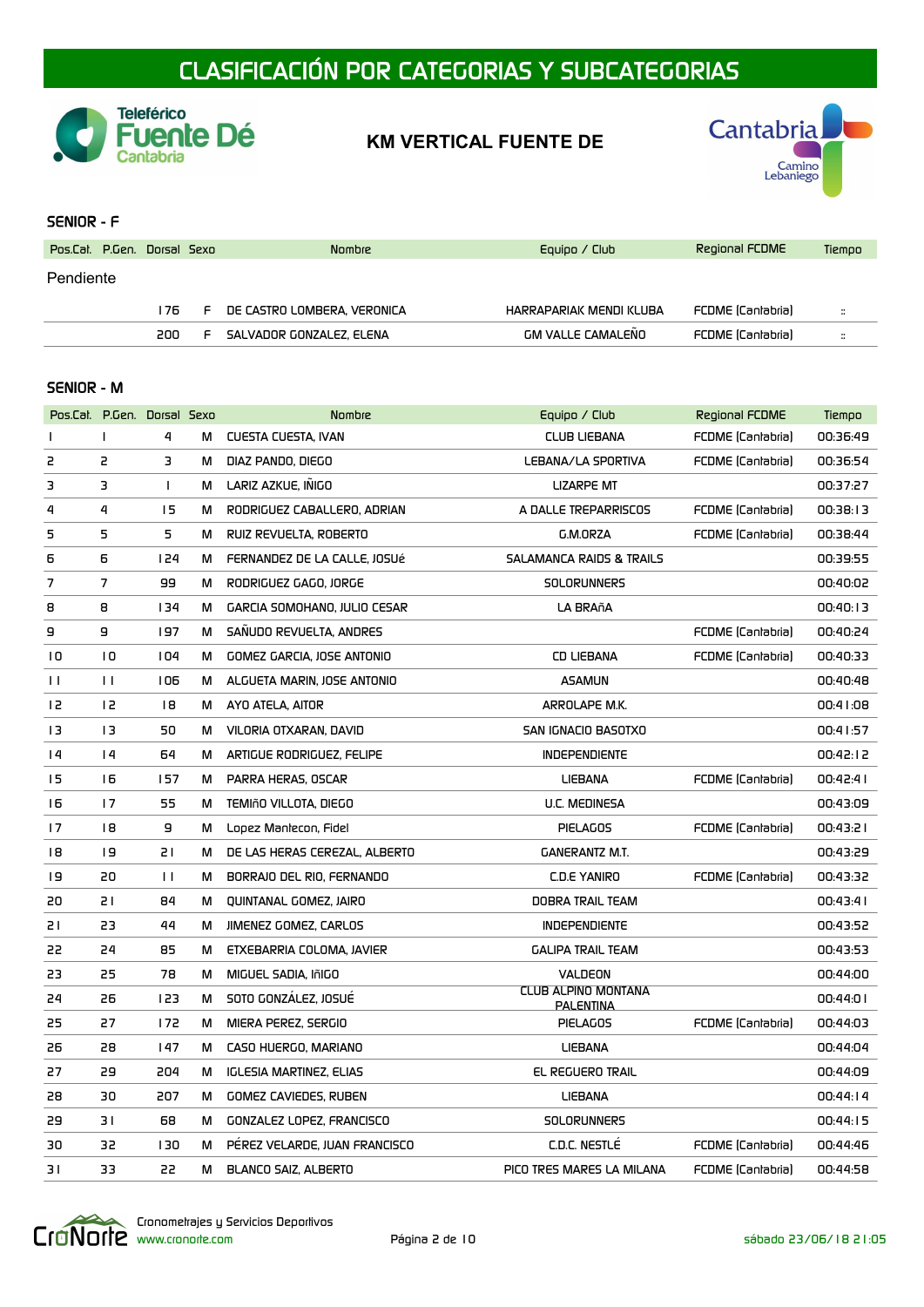

## KM VERTICAL FUENTE DE



#### SENIOR - F

| Pos.Cal. P.Gen. Dorsal Sexo |      |     | <b>Nombre</b>               | Equipo / Club            | Regional FCDME    | Tiempo       |
|-----------------------------|------|-----|-----------------------------|--------------------------|-------------------|--------------|
| Pendiente                   |      |     |                             |                          |                   |              |
|                             | 176. | - F | DE CASTRO LOMBERA. VERONICA | HARRAPARIAK MENDI KLUBA  | FCDME (Cantabria) | $\ddot{ }$ : |
|                             | 200  | F.  | SALVADOR GONZALEZ. ELENA    | <b>GM VALLE CAMALENO</b> | FCDME (Cantabria) | $\mathbb{R}$ |

| Pos.Cal. P.Gen. Dorsal Sexo |              |              |   | Nombre                        | Equipo / Club                                  | Regional FCDME           | Tiempo   |
|-----------------------------|--------------|--------------|---|-------------------------------|------------------------------------------------|--------------------------|----------|
|                             |              | 4            | М | <b>CUESTA CUESTA, IVAN</b>    | <b>CLUB LIEBANA</b>                            | FCDME (Cantabria)        | 00:36:49 |
| 5                           | 2            | 3            | M | DIAZ PANDO, DIEGO             | LEBANA/LA SPORTIVA                             | <b>FCDME</b> (Cantabria) | 00:36:54 |
| з                           | 3            | $\mathbf{I}$ | М | LARIZ AZKUE, INIGO            | <b>LIZARPE MT</b>                              |                          | 00:37:27 |
| 4                           | 4            | 15           | м | RODRIGUEZ CABALLERO, ADRIAN   | A DALLE TREPARRISCOS                           | FCDME (Cantabria)        | 00:38:13 |
| 5                           | 5            | 5            | М | RUIZ REVUELTA, ROBERTO        | G.M.ORZA                                       | FCDME (Cantabria)        | 00:38:44 |
| 6                           | 6            | 124          | М | FERNANDEZ DE LA CALLE, JOSUé  | SALAMANCA RAIDS & TRAILS                       |                          | 00:39:55 |
| 7                           | 7            | 99           | М | RODRIGUEZ GAGO, JORGE         | <b>SOLORUNNERS</b>                             |                          | 00:40:02 |
| 8                           | 8            | 134          | м | GARCIA SOMOHANO, JULIO CESAR  | LA BRAñA                                       |                          | 00:40:13 |
| 9                           | 9            | 197          | м | SANUDO REVUELTA, ANDRES       |                                                | FCDME (Cantabria)        | 00:40:24 |
| 10                          | 10           | 104          | м | GOMEZ GARCIA, JOSE ANTONIO    | <b>CD LIEBANA</b>                              | FCDME (Cantabria)        | 00:40:33 |
| $\mathbf{H}$                | $\mathbf{L}$ | 106          | М | ALGUETA MARIN, JOSE ANTONIO   | <b>ASAMUN</b>                                  |                          | 00:40:48 |
| 12                          | 12           | 18           | м | AYO ATELA, AITOR              | ARROLAPE M.K.                                  |                          | 00:41:08 |
| 13                          | 13           | 50           | м | VILORIA OTXARAN, DAVID        | SAN IGNACIO BASOTXO                            |                          | 00:41:57 |
| 14                          | 4            | 64           | м | ARTIGUE RODRIGUEZ, FELIPE     | <b>INDEPENDIENTE</b>                           |                          | 00:42:12 |
| 15                          | 16           | 157          | м | PARRA HERAS, OSCAR            | <b>LIEBANA</b>                                 | FCDME (Cantabria)        | 00:42:41 |
| 16                          | 17           | 55           | м | TEMIÑO VILLOTA, DIEGO         | U.C. MEDINESA                                  |                          | 00:43:09 |
| 17                          | 8            | 9            | м | Lopez Maniecon, Fidel         | PIELAG05                                       | FCDME (Cantabria)        | 00:43:21 |
| 18                          | 19           | 51           | м | DE LAS HERAS CEREZAL, ALBERTO | GANERANTZ M.T.                                 |                          | 00:43:29 |
| 19                          | 20           | $\mathbf{L}$ | M | BORRAJO DEL RIO, FERNANDO     | <b>C.D.E YANIRO</b>                            | <b>FCDME</b> (Cantabria) | 00:43:32 |
| 20                          | 21           | 84           | М | QUINTANAL GOMEZ, JAIRO        | DOBRA TRAIL TEAM                               |                          | 00:43:41 |
| 21                          | 23           | 44           | М | JIMENEZ GOMEZ, CARLOS         | <b>INDEPENDIENTE</b>                           |                          | 00:43:52 |
| 22                          | 24           | 85           | м | ETXEBARRIA COLOMA, JAVIER     | <b>GALIPA TRAIL TEAM</b>                       |                          | 00:43:53 |
| 23                          | 25           | 78           | М | MIGUEL SADIA, IÑIGO           | VALDEON                                        |                          | 00:44:00 |
| 24                          | 26           | 123          | М | SOTO GONZALEZ, JOSUE          | <b>CLUB ALPINO MONTANA</b><br><b>PALENTINA</b> |                          | 00:44:01 |
| 25                          | 27           | 172          | м | MIERA PEREZ, SERGIO           | PIELAG05                                       | FCDME (Cantabria)        | 00:44:03 |
| 26                          | 28           | 147          | М | CASO HUERGO, MARIANO          | <b>LIEBANA</b>                                 |                          | 00:44:04 |
| 27                          | 29           | 204          | м | IGLESIA MARTINEZ, ELIAS       | EL REGUERO TRAIL                               |                          | 00:44:09 |
| 28                          | 30           | 207          | м | GOMEZ CAVIEDES, RUBEN         | <b>LIEBANA</b>                                 |                          | 00:44:14 |
| 29                          | 31           | 68           | М | GONZALEZ LOPEZ, FRANCISCO     | <b>SOLORUNNERS</b>                             |                          | 00:44:15 |
| 30                          | 32           | 130          | М | PÉREZ VELARDE, JUAN FRANCISCO | C.D.C. NESTLÉ                                  | FCDME (Cantabria)        | 00:44:46 |
| 31                          | 33           | 22           | м | BLANCO SAIZ, ALBERTO          | PICO TRES MARES LA MILANA                      | FCDME (Cantabria)        | 00:44:58 |

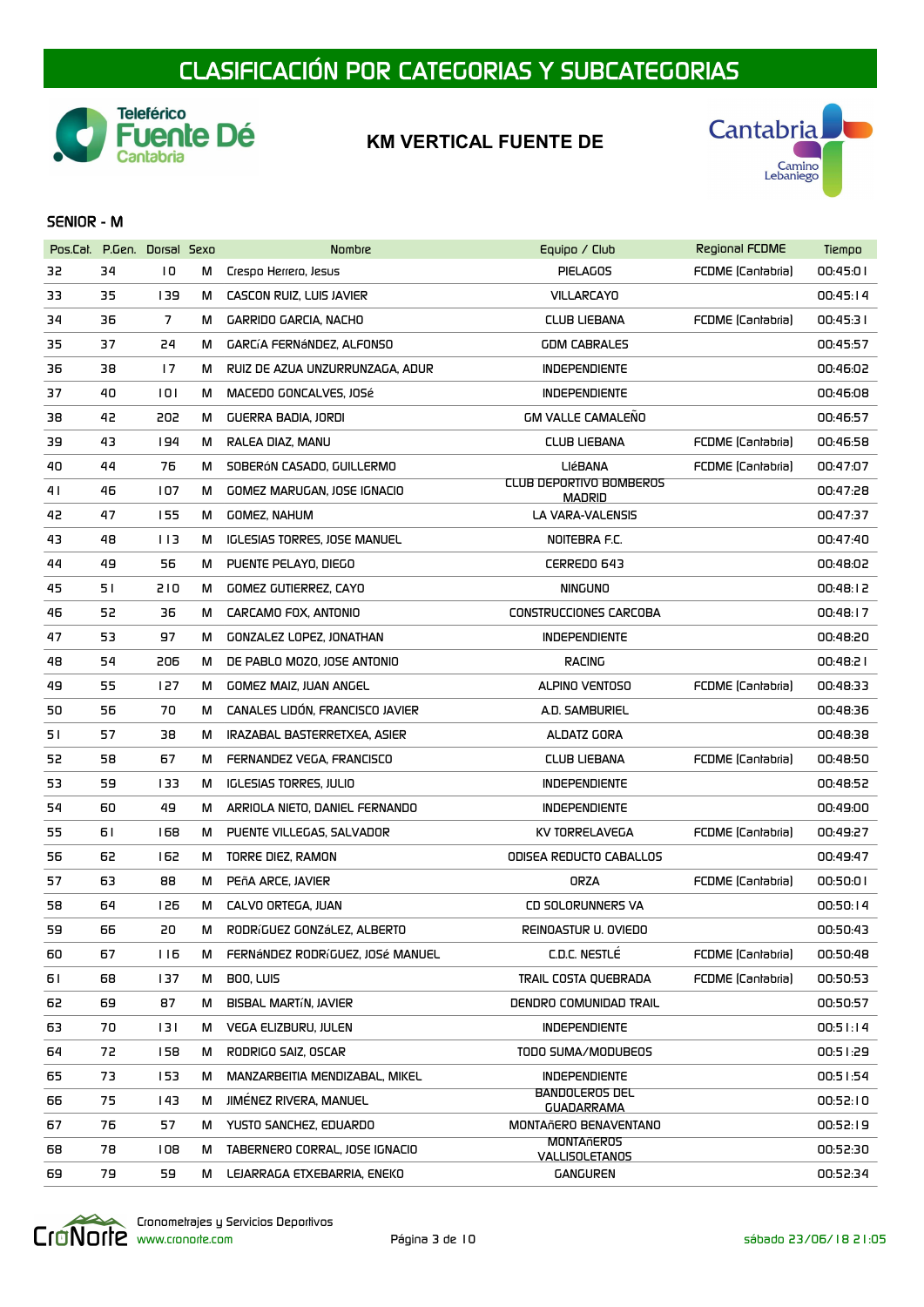

## KM VERTICAL FUENTE DE



|    | Pos.Cal. P.Gen. Dorsal Sexo |                |   | <b>Nombre</b>                    | Equipo / Club                                   | Regional FCDME           | Tiempo   |
|----|-----------------------------|----------------|---|----------------------------------|-------------------------------------------------|--------------------------|----------|
| 32 | 34                          | 10             | м | Crespo Herrero, Jesus            | PIELAG05                                        | <b>FCDME</b> (Cantabria) | 00:45:01 |
| 33 | 35                          | 139            | м | CASCON RUIZ, LUIS JAVIER         | <b>VILLARCAYO</b>                               |                          | 00:45:14 |
| 34 | 36                          | $\overline{7}$ | М | GARRIDO GARCIA, NACHO            | <b>CLUB LIEBANA</b>                             | FCDME (Cantabria)        | 00:45:31 |
| 35 | 37                          | 24             | М | GARCÍA FERNÁNDEZ, ALFONSO        | <b>GDM CABRALES</b>                             |                          | 00:45:57 |
| 36 | 38                          | 17             | м | RUIZ DE AZUA UNZURRUNZAGA, ADUR  | <b>INDEPENDIENTE</b>                            |                          | 00:46:02 |
| 37 | 40                          | 0              | М | MACEDO GONCALVES, JOSé           | <b>INDEPENDIENTE</b>                            |                          | 00:46:08 |
| 38 | 42                          | 202            | М | GUERRA BADIA, JORDI              | <b>GM VALLE CAMALENO</b>                        |                          | 00:46:57 |
| 39 | 43                          | 194            | м | RALEA DIAZ, MANU                 | <b>CLUB LIEBANA</b>                             | FCDME (Cantabria)        | 00:46:58 |
| 40 | 44                          | 76             | м | SOBERÓN CASADO, GUILLERMO        | LIÉBANA                                         | FCDME (Cantabria)        | 00:47:07 |
| 41 | 46                          | 107            | М | GOMEZ MARUGAN, JOSE IGNACIO      | <b>CLUB DEPORTIVO BOMBEROS</b><br><b>MADRID</b> |                          | 00:47:28 |
| 42 | 47                          | 155            | М | <b>GOMEZ, NAHUM</b>              | LA VARA-VALENSIS                                |                          | 00:47:37 |
| 43 | 48                          | 113            | М | IGLESIAS TORRES, JOSE MANUEL     | NOITEBRA F.C.                                   |                          | 00:47:40 |
| 44 | 49                          | 56             | М | PUENTE PELAYO, DIEGO             | CERREDO 643                                     |                          | 00:48:02 |
| 45 | 51                          | 210            | М | GOMEZ GUTIERREZ, CAYO            | <b>NINGUNO</b>                                  |                          | 00:48:12 |
| 46 | 52                          | 36             | м | CARCAMO FOX, ANTONIO             | CONSTRUCCIONES CARCOBA                          |                          | 00:48:17 |
| 47 | 53                          | 97             | М | <b>GONZALEZ LOPEZ, JONATHAN</b>  | <b>INDEPENDIENTE</b>                            |                          | 00:48:20 |
| 48 | 54                          | 206            | М | DE PABLO MOZO, JOSE ANTONIO      | <b>RACING</b>                                   |                          | 00:48:21 |
| 49 | 55                          | 127            | М | GOMEZ MAIZ, JUAN ANGEL           | ALPINO VENTOSO                                  | FCDME (Cantabria)        | 00:48:33 |
| 50 | 56                          | 70             | М | CANALES LIDÓN, FRANCISCO JAVIER  | A.D. SAMBURIEL                                  |                          | 00:48:36 |
| 51 | 57                          | 38             | м | IRAZABAL BASTERRETXEA, ASIER     | ALDATZ GORA                                     |                          | 00:48:38 |
| 52 | 58                          | 67             | м | FERNANDEZ VEGA, FRANCISCO        | <b>CLUB LIEBANA</b>                             | FCDME (Cantabria)        | 00:48:50 |
| 53 | 59                          | 133            | М | IGLESIAS TORRES, JULIO           | <b>INDEPENDIENTE</b>                            |                          | 00:48:52 |
| 54 | 60                          | 49             | М | ARRIOLA NIETO, DANIEL FERNANDO   | <b>INDEPENDIENTE</b>                            |                          | 00:49:00 |
| 55 | 61                          | 168            | М | PUENTE VILLEGAS, SALVADOR        | KV TORRELAVEGA                                  | FCDME (Cantabria)        | 00:49:27 |
| 56 | 62                          | 162            | М | TORRE DIEZ, RAMON                | ODISEA REDUCTO CABALLOS                         |                          | 00:49:47 |
| 57 | 63                          | 88             | М | PEÑA ARCE, JAVIER                | ORZA                                            | FCDME (Cantabria)        | 00:50:01 |
| 58 | 64                          | 126            | М | CALVO ORTEGA, JUAN               | <b>CD SOLORUNNERS VA</b>                        |                          | 00:50:14 |
| 59 | 66                          | 20             | М | RODRÍGUEZ GONZáLEZ, ALBERTO      | REINOASTUR U. OVIEDO                            |                          | 00:50:43 |
| 60 | 67                          | 116            | M | FERNÁNDEZ RODRÍGUEZ, JOSÉ MANUEL | C.D.C. NESTLÉ                                   | FCDME (Cantabria)        | 00:50:48 |
| 61 | 68                          | 137            | М | BOO, LUIS                        | TRAIL COSTA QUEBRADA                            | <b>FCDME</b> (Cantabria) | 00:50:53 |
| 62 | 69                          | 87             | М | BISBAL MARTÍN, JAVIER            | DENDRO COMUNIDAD TRAIL                          |                          | 00:50:57 |
| 63 | 70                          | 131            | М | VEGA ELIZBURU, JULEN             | <b>INDEPENDIENTE</b>                            |                          | 00:51:14 |
| 64 | 72                          | 158            | М | RODRIGO SAIZ, OSCAR              | TODO SUMA/MODUBEOS                              |                          | 00:51:29 |
| 65 | 73                          | 153            | М | MANZARBEITIA MENDIZABAL, MIKEL   | INDEPENDIENTE                                   |                          | 00:51:54 |
| 66 | 75                          | 143            | М | JIMENEZ RIVERA, MANUEL           | <b>BANDOLEROS DEL</b><br><b>GUADARRAMA</b>      |                          | 00:52:10 |
| 67 | 76                          | 57             | М | YUSTO SANCHEZ, EDUARDO           | MONTAñERO BENAVENTANO                           |                          | 00:52:19 |
| 68 | 78                          | 108            | М | TABERNERO CORRAL, JOSE IGNACIO   | MONTAñEROS<br>VALLISOLETANOS                    |                          | 00:52:30 |
| 69 | 79                          | 59             | М | LEJARRAGA ETXEBARRIA, ENEKO      | <b>GANGUREN</b>                                 |                          | 00:52:34 |

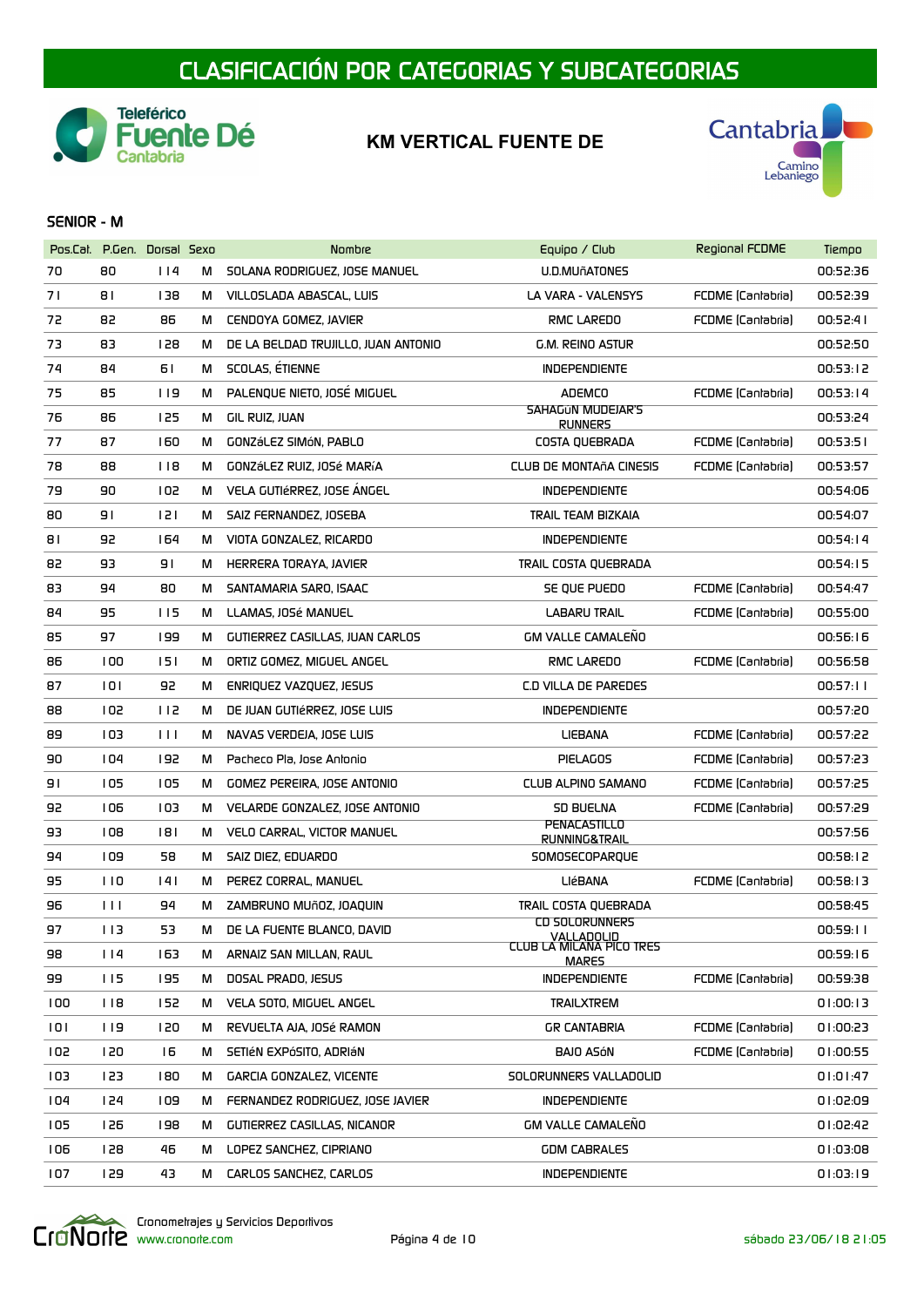

## KM VERTICAL FUENTE DE



|     | Pos.Cal. P.Gen. Dorsal Sexo |              |   | <b>Nombre</b>                       | Equipo / Club                              | Regional FCDME           | Tiempo   |
|-----|-----------------------------|--------------|---|-------------------------------------|--------------------------------------------|--------------------------|----------|
| 70  | 80                          | <b>114</b>   | М | SOLANA RODRIGUEZ, JOSE MANUEL       | U.D.MUñATONES                              |                          | 00:52:36 |
| 71  | 81                          | 138          | м | VILLOSLADA ABASCAL, LUIS            | LA VARA - VALENSYS                         | FCDME (Cantabria)        | 00:52:39 |
| 72  | 82                          | 86           | М | CENDOYA GOMEZ, JAVIER               | RMC LAREDO                                 | <b>FCDME</b> (Cantabria) | 00:52:41 |
| 73  | 83                          | 128          | м | DE LA BELDAD TRUJILLO, JUAN ANTONIO | G.M. REINO ASTUR                           |                          | 00:52:50 |
| 74  | 84                          | 61           | м | SCOLAS, ÉTIENNE                     | <b>INDEPENDIENTE</b>                       |                          | 00:53:12 |
| 75  | 85                          | 119          | м | PALENQUE NIETO, JOSÉ MIGUEL         | ADEMCO                                     | FCDME (Cantabria)        | 00:53:14 |
| 76  | 86                          | 125          | м | GIL RUIZ, JUAN                      | <b>SAHAGÚN MUDEJAR'S</b><br><b>RUNNERS</b> |                          | 00:53:24 |
| 77  | 87                          | 160          | м | GONZáLEZ SIMÓN, PABLO               | COSTA QUEBRADA                             | FCDME (Cantabria)        | 00:53:51 |
| 78  | 88                          | 118          | м | GONZáLEZ RUIZ, JOSé MARÍA           | <b>CLUB DE MONTAÑA CINESIS</b>             | FCDME (Cantabria)        | 00:53:57 |
| 79  | 90                          | 102          | м | VELA GUTIÉRREZ, JOSE ANGEL          | INDEPENDIENTE                              |                          | 00:54:06 |
| 80  | 91                          | 121          | М | SAIZ FERNANDEZ, JOSEBA              | TRAIL TEAM BIZKAIA                         |                          | 00:54:07 |
| 81  | 92                          | 164          | м | VIOTA GONZALEZ, RICARDO             | <b>INDEPENDIENTE</b>                       |                          | 00:54:14 |
| 82  | 93                          | 91           | М | HERRERA TORAYA, JAVIER              | TRAIL COSTA QUEBRADA                       |                          | 00:54:15 |
| 83  | 94                          | 80           | м | SANTAMARIA SARO, ISAAC              | SE QUE PUEDO                               | FCDME (Cantabria)        | 00:54:47 |
| 84  | 95                          | 115          | м | LLAMAS. JOSé MANUEL                 | LABARU TRAIL                               | FCDME (Cantabria)        | 00:55:00 |
| 85  | 97                          | 199          | м | GUTIERREZ CASILLAS, JUAN CARLOS     | <b>GM VALLE CAMALEÑO</b>                   |                          | 00:56:16 |
| 86  | 100                         | 151          | М | ORTIZ GOMEZ, MIGUEL ANGEL           | RMC LAREDO                                 | FCDME (Cantabria)        | 00:56:58 |
| 87  | 101                         | 92           | м | ENRIQUEZ VAZQUEZ, JESUS             | C.D VILLA DE PAREDES                       |                          | 00:57:11 |
| 88  | 102                         | 112          | М | DE JUAN GUTIÉRREZ, JOSE LUIS        | INDEPENDIENTE                              |                          | 00:57:20 |
| 89  | 103                         | $\mathbf{1}$ | М | NAVAS VERDEJA, JOSE LUIS            | <b>LIEBANA</b>                             | FCDME (Cantabria)        | 00:57:22 |
| 90  | 104                         | 192          | м | Pacheco Pla, Jose Antonio           | PIELAG05                                   | FCDME (Cantabria)        | 00:57:23 |
| 91  | 105                         | 105          | М | GOMEZ PEREIRA, JOSE ANTONIO         | <b>CLUB ALPINO SAMANO</b>                  | FCDME (Cantabria)        | 00:57:25 |
| 92  | 106                         | 103          | М | VELARDE GONZALEZ, JOSE ANTONIO      | SD BUELNA                                  | FCDME (Cantabria)        | 00:57:29 |
| 93  | 108                         | 181          | М | VELO CARRAL, VICTOR MANUEL          | PENACASTILLO<br><b>RUNNING&amp;TRAIL</b>   |                          | 00:57:56 |
| 94  | 109                         | 58           | м | SAIZ DIEZ, EDUARDO                  | SOMOSECOPARQUE                             |                          | 00:58:12 |
| 95  | 110                         | 141          | м | PEREZ CORRAL, MANUEL                | <b>LIÉBANA</b>                             | FCDME (Cantabria)        | 00:58:13 |
| 96  | $\perp$                     | 94           | м | ZAMBRUNO MUñOZ, JOAQUIN             | TRAIL COSTA QUEBRADA                       |                          | 00:58:45 |
| 97  | 113                         | 53           | м | DE LA FUENTE BLANCO, DAVID          | <b>CD SOLORUNNERS</b><br>VALLADOLID        |                          | 00:59:11 |
| 98  | 114                         | 163          | M | ARNAIZ SAN MILLAN, RAUL             | CLUB LA MILANA PICO TRES<br><b>MARES</b>   |                          | 00:59:16 |
| 99  | 115                         | 195          | M | DOSAL PRADO, JESUS                  | <b>INDEPENDIENTE</b>                       | <b>FCDME</b> (Cantabria) | 00:59:38 |
| 100 | 118                         | 152          | M | VELA SOTO, MIGUEL ANGEL             | <b>TRAILXTREM</b>                          |                          | 01:00:13 |
| 0   | 119                         | 150          | M | REVUELTA AJA, JOSé RAMON            | GR CANTABRIA                               | FCDME (Cantabria)        | 01:00:23 |
| 102 | 150                         | 16           | M | SETIÉN EXPÓSITO, ADRIÁN             | BAJO ASÓN                                  | FCDME (Cantabria)        | 01:00:55 |
| 103 | 123                         | 180          | M | GARCIA GONZALEZ, VICENTE            | SOLORUNNERS VALLADOLID                     |                          | 01:01:47 |
| 104 | 124                         | 109          | M | FERNANDEZ RODRIGUEZ, JOSE JAVIER    | INDEPENDIENTE                              |                          | 01:02:09 |
| 105 | 126                         | 198          | M | GUTIERREZ CASILLAS, NICANOR         | <b>GM VALLE CAMALENO</b>                   |                          | 01:02:42 |
| 106 | 128                         | 46           | м | LOPEZ SANCHEZ, CIPRIANO             | <b>GDM CABRALES</b>                        |                          | 0:03:08  |
| 107 | 129                         | 43           | M | CARLOS SANCHEZ, CARLOS              | INDEPENDIENTE                              |                          | 01:03:19 |

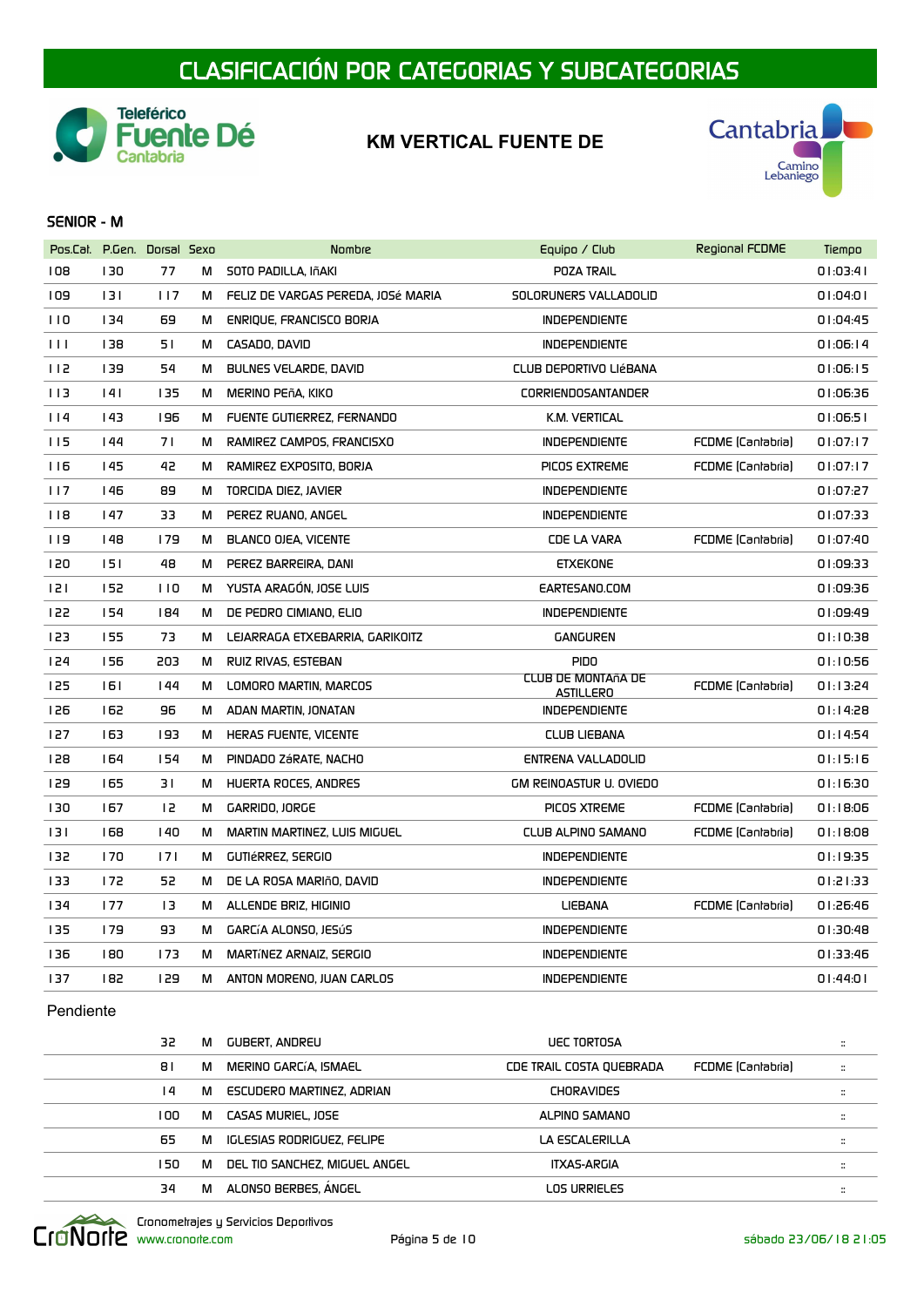

## KM VERTICAL FUENTE DE



#### SENIOR - M

| Pos.Cal. P.Gen. Dorsal Sexo |     |     |   | <b>Nombre</b>                      | Equipo / Club                                 | Regional FCDME    | Tiempo   |
|-----------------------------|-----|-----|---|------------------------------------|-----------------------------------------------|-------------------|----------|
| 108                         | 130 | 77  | м | SOTO PADILLA, IñAKI                | POZA TRAIL                                    |                   | 01:03:41 |
| 109                         | 131 | 117 | м | FELIZ DE VARGAS PEREDA, JOSé MARIA | SOLORUNERS VALLADOLID                         |                   | 0!:04:01 |
| 110                         | 134 | 69  | м | ENRIQUE, FRANCISCO BORJA           | <b>INDEPENDIENTE</b>                          |                   | 01:04:45 |
| 111                         | 138 | 51  | м | CASADO, DAVID                      | <b>INDEPENDIENTE</b>                          |                   | 01:06:14 |
| 112                         | 139 | 54  | М | BULNES VELARDE, DAVID              | <b>CLUB DEPORTIVO LIÉBANA</b>                 |                   | 01:06:15 |
| 113                         | 4   | 135 | М | MERINO PEñA, KIKO                  | <b>CORRIENDOSANTANDER</b>                     |                   | 01:06:36 |
| 114                         | 143 | 196 | M | FUENTE GUTIERREZ, FERNANDO         | K.M. VERTICAL                                 |                   | 01:06:51 |
| 115                         | 144 | 71  | М | RAMIREZ CAMPOS, FRANCISXO          | <b>INDEPENDIENTE</b>                          | FCDME (Cantabria) | 01:07:17 |
| 116                         | 145 | 42  | м | RAMIREZ EXPOSITO, BORJA            | PICOS EXTREME                                 | FCDME (Cantabria) | 01:07:17 |
| 117                         | 146 | 89  | м | TORCIDA DIEZ, JAVIER               | <b>INDEPENDIENTE</b>                          |                   | 01:07:27 |
| 118                         | 147 | 33  | М | PEREZ RUANO, ANGEL                 | <b>INDEPENDIENTE</b>                          |                   | 01:07:33 |
| 119                         | 148 | 179 | м | BLANCO OJEA, VICENTE               | <b>CDE LA VARA</b>                            | FCDME (Cantabria) | 01:07:40 |
| 120                         | 151 | 48  | м | PEREZ BARREIRA, DANI               | <b>ETXEKONE</b>                               |                   | 01:09:33 |
| 121                         | 152 | 0   | М | YUSTA ARAGÓN, JOSE LUIS            | EARTESANO.COM                                 |                   | 01:09:36 |
| 122                         | 154 | 184 | М | DE PEDRO CIMIANO, ELIO             | <b>INDEPENDIENTE</b>                          |                   | 01:09:49 |
| 123                         | 155 | 73  | М | LEJARRAGA ETXEBARRIA, GARIKOITZ    | <b>GANGUREN</b>                               |                   | 01:10:38 |
| 124                         | 156 | 203 | м | RUIZ RIVAS, ESTEBAN                | <b>PIDO</b>                                   |                   | 01:10:56 |
| 125                         | 161 | 144 | м | LOMORO MARTIN, MARCOS              | <b>CLUB DE MONTAÑA DE</b><br><b>ASTILLERO</b> | FCDME (Cantabria) | 01:13:24 |
| 126                         | 162 | 96  | м | ADAN MARTIN, JONATAN               | <b>INDEPENDIENTE</b>                          |                   | 01:14:28 |
| 127                         | 163 | 193 | м | HERAS FUENTE, VICENTE              | <b>CLUB LIEBANA</b>                           |                   | 01:14:54 |
| 128                         | 164 | 154 | м | PINDADO ZáRATE, NACHO              | ENTRENA VALLADOLID                            |                   | 01:15:16 |
| 129                         | 165 | 31  | м | HUERTA ROCES, ANDRES               | GM REINOASTUR U. OVIEDO                       |                   | 01:16:30 |
| 130                         | 167 | 12  | М | GARRIDO, JORGE                     | PICOS XTREME                                  | FCDME (Cantabria) | 01:18:06 |
| 131                         | 168 | 140 | М | MARTIN MARTINEZ, LUIS MIGUEL       | <b>CLUB ALPINO SAMANO</b>                     | FCDME (Cantabria) | 01:18:08 |
| 132                         | 170 | 171 | М | GUTIÉRREZ, SERGIO                  | <b>INDEPENDIENTE</b>                          |                   | 01:19:35 |
| 133                         | 172 | 52  | м | DE LA ROSA MARIñO, DAVID           | <b>INDEPENDIENTE</b>                          |                   | 01:21:33 |
| 134                         | 177 | 13  | М | ALLENDE BRIZ, HIGINIO              | <b>LIEBANA</b>                                | FCDME (Cantabria) | 01:26:46 |
| 135                         | 179 | 93  | М | GARCÍA ALONSO, JESÚS               | <b>INDEPENDIENTE</b>                          |                   | 01:30:48 |
| 136                         | 180 | 173 | М | MARTÍNEZ ARNAIZ, SERGIO            | <b>INDEPENDIENTE</b>                          |                   | 01:33:46 |
| 137                         | 182 | 129 | М | ANTON MORENO, JUAN CARLOS          | <b>INDEPENDIENTE</b>                          |                   | 0!:44:01 |

| 32   | М | GUBERT, ANDREU                | UEC TORTOSA              |                   | $\ddot{}}$               |
|------|---|-------------------------------|--------------------------|-------------------|--------------------------|
| 81   | М | MERINO GARCÍA, ISMAEL         | CDE TRAIL COSTA QUEBRADA | FCDME (Cantabria) | $\ddot{}}$               |
| 14   | М | ESCUDERO MARTINEZ. ADRIAN     | <b>CHORAVIDES</b>        |                   | $\ddot{}}$               |
| 100. | М | CASAS MURIEL, JOSE            | ALPINO SAMANO            |                   | $\ddot{}}$               |
| 65   | М | IGLESIAS RODRIGUEZ. FELIPE    | LA ESCALERILLA           |                   | $\ddot{}}$               |
| 50   | М | DEL TIO SANCHEZ, MIGUEL ANGEL | ITXAS-ARGIA              |                   | $\ddot{\phantom{a}}$     |
| 34   | М | ALONSO BERBES, ANGEL          | LOS URRIELES             |                   | <br>$\ddot{\phantom{0}}$ |

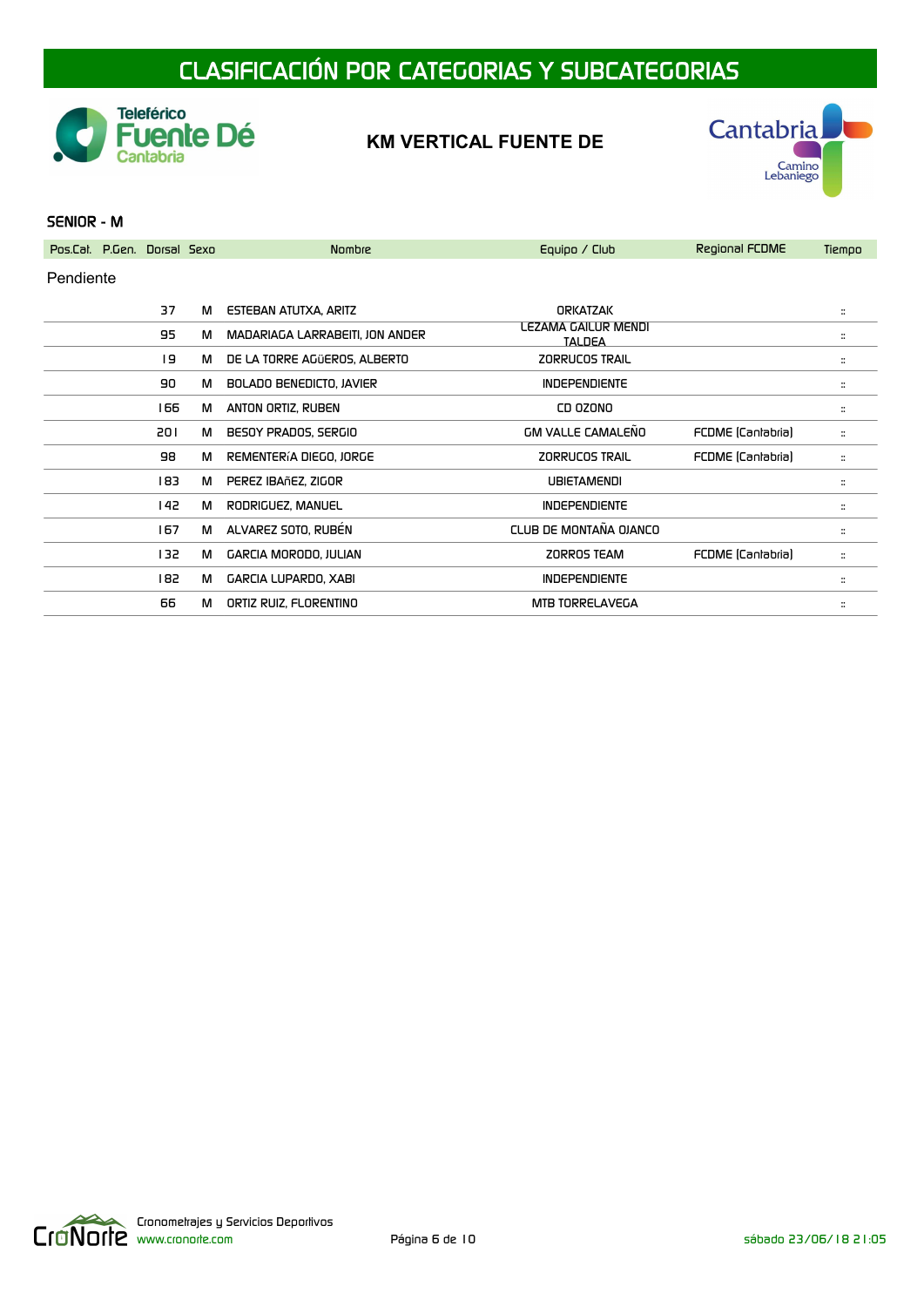

## KM VERTICAL FUENTE DE



| Pos.Cal. P.Gen. Dorsal Sexo |      |   | <b>Nombre</b>                   | Equipo / Club                        | <b>Regional FCDME</b> | Tiempo       |
|-----------------------------|------|---|---------------------------------|--------------------------------------|-----------------------|--------------|
| Pendiente                   |      |   |                                 |                                      |                       |              |
|                             | 37   | М | ESTEBAN ATUTXA, ARITZ           | <b>ORKATZAK</b>                      |                       | $\mathbb{R}$ |
|                             | 95   | M | MADARIAGA LARRABEITI, JON ANDER | LEZAMA GAILUR MENDI<br><b>TALDEA</b> |                       | $\mathbb{R}$ |
|                             | 9    | M | DE LA TORRE AGÜEROS, ALBERTO    | ZORRUCOS TRAIL                       |                       | $\mathbb{R}$ |
|                             | 90   | M | BOLADO BENEDICTO, JAVIER        | <b>INDEPENDIENTE</b>                 |                       | $\mathbb{R}$ |
|                             | 166  | М | ANTON ORTIZ, RUBEN              | CD 0Z0NO                             |                       | $\mathbf{H}$ |
|                             | 201  | М | BESOY PRADOS, SERGIO            | <b>GM VALLE CAMALENO</b>             | FCDME (Cantabria)     | $\mathbb{R}$ |
|                             | 98   | M | REMENTERÍA DIEGO, JORGE         | ZORRUCOS TRAIL                       | FCDME (Cantabria)     | $\mathbf{H}$ |
|                             | 183  | M | PEREZ IBAñEZ, ZIGOR             | <b>UBIETAMENDI</b>                   |                       | $\mathbf{H}$ |
|                             | 142  | м | RODRIGUEZ, MANUEL               | <b>INDEPENDIENTE</b>                 |                       | $\mathbb{R}$ |
|                             | 167  | М | ALVAREZ 50TO, RUBÉN             | CLUB DE MONTAÑA OJANCO               |                       | $\mathbb{R}$ |
|                             | 132. | M | GARCIA MORODO, JULIAN           | ZORROS TEAM                          | FCDME (Cantabria)     | $\mathbb{R}$ |
|                             | 182  | М | GARCIA LUPARDO, XABI            | <b>INDEPENDIENTE</b>                 |                       | $\mathbf{H}$ |
|                             | 66   | M | ORTIZ RUIZ, FLORENTINO          | MTB TORRELAVEGA                      |                       | $\mathbf{H}$ |
|                             |      |   |                                 |                                      |                       |              |

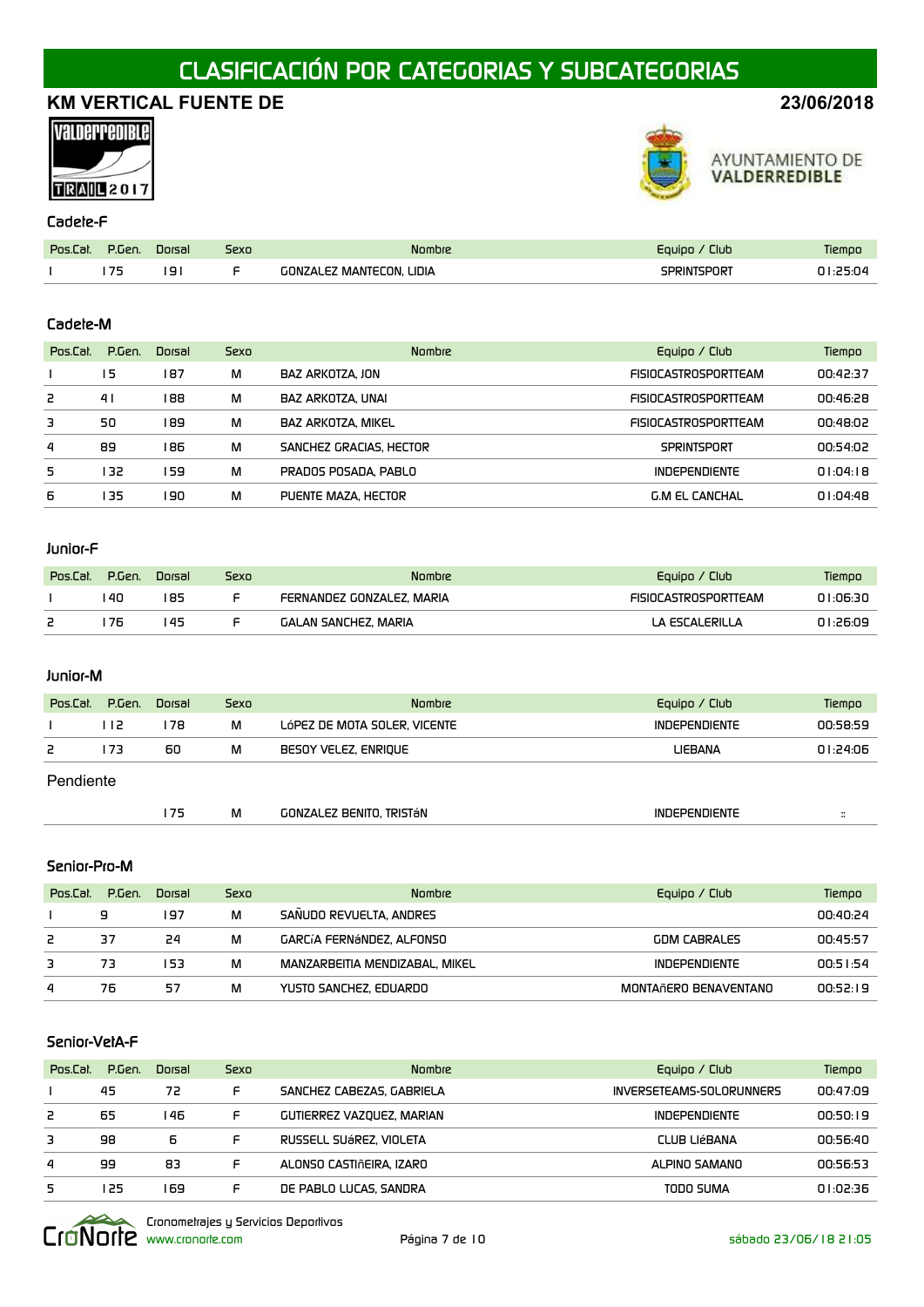## KM VERTICAL FUENTE DE 23/06/2018





**AYUNTAMIENTO DE** VALDERREDIBLE

### Cadete-F

| Pos.Cal. | P.Gen. | Dorsal | <b>SEXO</b> | Nombre                   | ' Club<br>∃auioo ∕ | liemoo |
|----------|--------|--------|-------------|--------------------------|--------------------|--------|
|          | 75     |        |             | GONZALEZ MANTECON, LIDIA | 5PRINTSPORT        |        |

### Cadete-M

| Pos.Cat. | P.Gen.         | Dorsal | Sexo | <b>Nombre</b>           | Equipo / Club               | Tiempo   |
|----------|----------------|--------|------|-------------------------|-----------------------------|----------|
|          | 15             | 187    | м    | BAZ ARKOTZA. JON        | <b>FISIOCASTROSPORTTEAM</b> | 00:42:37 |
| 2        | 4 <sub>1</sub> | 188    | м    | BAZ ARKOTZA. UNAI       | FISIOCASTROSPORTTEAM        | 00:46:28 |
| 3        | 50             | 189    | м    | BAZ ARKOTZA, MIKEL      | <b>FISIOCASTROSPORTTEAM</b> | 00:48:02 |
| 4        | 89             | 186    | м    | SANCHEZ GRACIAS, HECTOR | <b>SPRINTSPORT</b>          | 00:54:02 |
| 5.       | 32             | 159    | м    | PRADOS POSADA, PABLO    | <b>INDEPENDIENTE</b>        | 01:04:18 |
| 6        | 35             | 90 ا   | м    | PUENTE MAZA, HECTOR     | <b>G.M EL CANCHAL</b>       | 01:04:48 |

### Junior-F

| Pos.Cat. | P.Gen. | Dorsal | Sexo | <b>Nombre</b>             | Equipo / Club        | Tiempo   |
|----------|--------|--------|------|---------------------------|----------------------|----------|
|          | 40     | 185    |      | FERNANDEZ GONZALEZ. MARIA | FISIOCASTROSPORTTEAM | 01:06:30 |
|          | 76     | l 45   |      | GALAN SANCHEZ. MARIA      | I A FSCAI FRII I A   | 01:26:09 |

### Junior-M

| Pos.Cal. | P.Gen.    | Dorsal | <b>Sexo</b> | <b>Nombre</b>                | Equipo / Club        | Tiempo                                   |  |  |  |
|----------|-----------|--------|-------------|------------------------------|----------------------|------------------------------------------|--|--|--|
|          | I 12      | 178    | м           | LÓPEZ DE MOTA SOLER, VICENTE | <b>INDEPENDIENTE</b> | 00:58:59                                 |  |  |  |
| 2        | 173       | 60     | м           | BESOY VELEZ, ENRIOUE         | <b>LIEBANA</b>       | 01:24:06                                 |  |  |  |
|          | Pendiente |        |             |                              |                      |                                          |  |  |  |
|          |           | 175    | M           | GONZALEZ BENITO, TRISTÁN     | <b>INDEPENDIENTE</b> | $\bullet\bullet$<br>$\ddot{\phantom{0}}$ |  |  |  |

### Senior-Pro-M

| Pos.Cat. | P.Gen. | Dorsal | Sexo | <b>Nombre</b>                  | Equipo / Club         | Tiempo   |
|----------|--------|--------|------|--------------------------------|-----------------------|----------|
|          | 9      | 197    | м    | SANUDO REVUELTA, ANDRES        |                       | 00:40:24 |
| 2        | 37     | 24     | м    | GARCÍA FERNÁNDEZ, ALFONSO      | <b>GDM CABRALES</b>   | 00:45:57 |
|          | 73     | 153    | м    | MANZARBEITIA MENDIZABAL. MIKEL | <b>INDEPENDIENTE</b>  | 00:51:54 |
| 4        | 76     | 57     | м    | YUSTO SANCHEZ, EDUARDO         | MONTAñERO BENAVENTANO | 00:52:19 |

### Senior-VetA-F

| Pos.Cat. | P.Gen. | Dorsal | Sexo | <b>Nombre</b>             | Equipo / Club            | Tiempo   |
|----------|--------|--------|------|---------------------------|--------------------------|----------|
|          | 45     | 72     | F    | SANCHEZ CABEZAS, GABRIELA | INVERSETEAMS-SOLORUNNERS | 00:47:09 |
| 2        | 65     | 146    | F    | GUTIERREZ VAZOUEZ, MARIAN | <b>INDEPENDIENTE</b>     | 00:50:19 |
| 3        | 98     | 6      | F    | RUSSELL SUÁREZ, VIOLETA   | <b>CLUB LIÉBANA</b>      | 00:56:40 |
| 4        | 99     | 83     | F    | ALONSO CASTIñEIRA. IZARO  | ALPINO SAMANO            | 00:56:53 |
| 5.       | 25     | 169    | F.   | DE PABLO LUCAS, SANDRA    | TODO SUMA                | 01:02:36 |

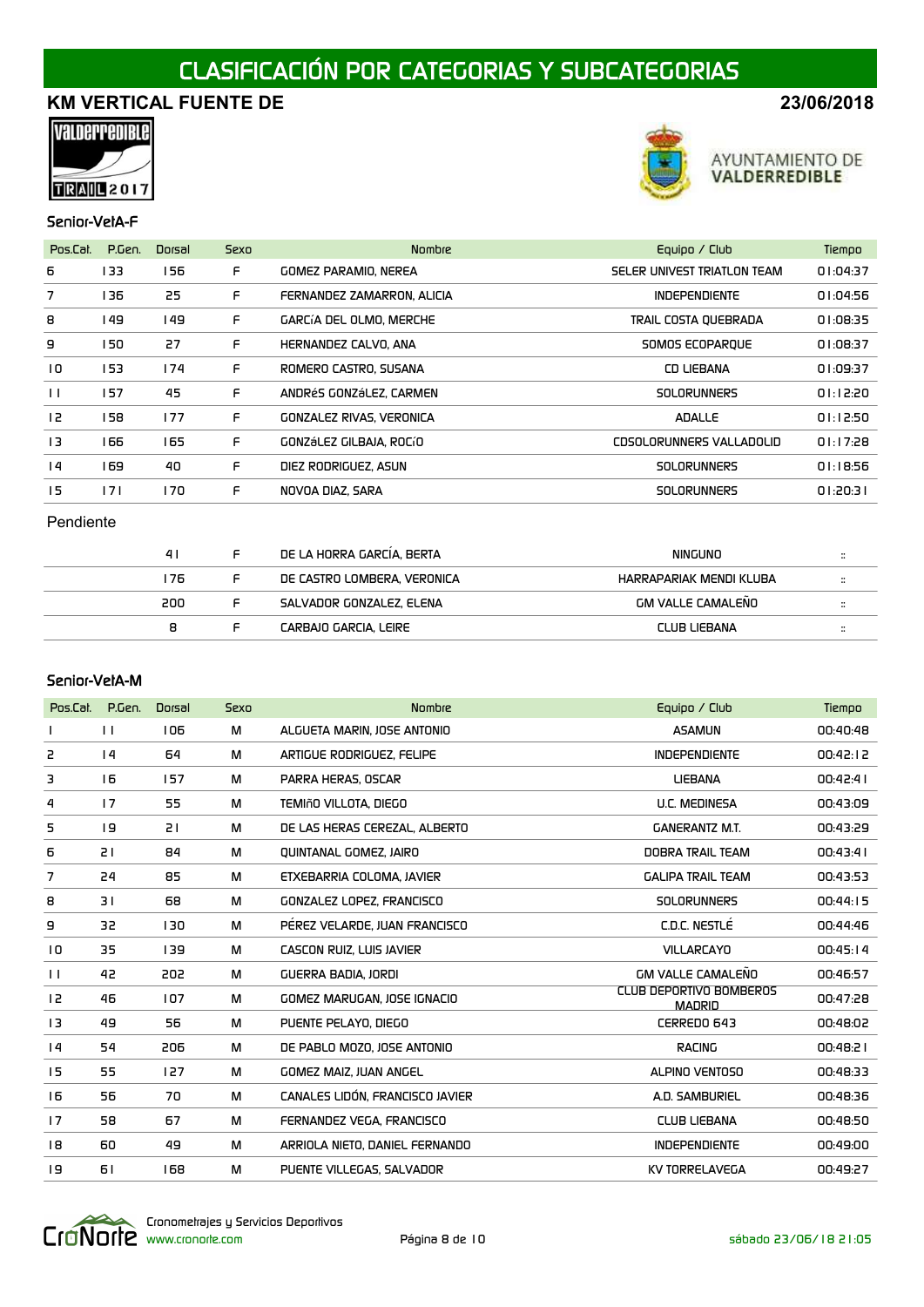### KM VERTICAL FUENTE DE 23/06/2018





AYUNTAMIENTO DE VALDERREDIBLE

### Senior-VetA-F

| Pos.Cat. | P.Gen. | Dorsal | <b>Sexo</b> | <b>Nombre</b>              | Equipo / Club               | Tiempo   |
|----------|--------|--------|-------------|----------------------------|-----------------------------|----------|
| 6        | 133    | 156    | F           | GOMEZ PARAMIO, NEREA       | SELER UNIVEST TRIATLON TEAM | 01:04:37 |
| 7        | 136    | 25     | F           | FERNANDEZ ZAMARRON, ALICIA | <b>INDEPENDIENTE</b>        | 01:04:56 |
| 8        | 149    | 149    | F           | GARCÍA DEL OLMO, MERCHE    | TRAIL COSTA OUEBRADA        | 01:08:35 |
| 9        | 150    | 27     | F           | HERNANDEZ CALVO, ANA       | SOMOS ECOPAROUE             | 01:08:37 |
| 10       | 153    | 174    | F           | ROMERO CASTRO, SUSANA      | <b>CD LIEBANA</b>           | 01:09:37 |
| $\perp$  | 157    | 45     | F           | ANDRéS GONZáLEZ, CARMEN    | <b>SOLORUNNERS</b>          | 01:12:20 |
| 12       | 158    | 177    | F           | GONZALEZ RIVAS, VERONICA   | <b>ADALLE</b>               | 01:12:50 |
| 13       | 166    | 165    | F           | GONZáLEZ GILBAJA, ROCÍO    | CDSOLORUNNERS VALLADOLID    | 01:17:28 |
| 4        | 169    | 40     | F           | DIEZ RODRIGUEZ, ASUN       | <b>SOLORUNNERS</b>          | 01:18:56 |
| 15       | 171    | 170    | F           | NOVOA DIAZ, SARA           | <b>SOLORUNNERS</b>          | 01:20:31 |
|          |        |        |             |                            |                             |          |

### Pendiente

| 41   | DE LA HORRA GARCIA. BERTA   | NINGUNO                  | $\mathbf{H}$         |
|------|-----------------------------|--------------------------|----------------------|
| l 76 | DE CASTRO LOMBERA, VERONICA | HARRAPARIAK MENDI KLUBA  | $\mathbf{H}$         |
| 200  | SALVADOR GONZALEZ. ELENA    | <b>GM VALLE CAMALENO</b> | $\mathbf{H}$         |
| 8    | CARBAJO GARCIA. LEIRE       | <b>CLUB LIEBANA</b>      | $\dddot{\mathbf{r}}$ |

### Senior-VetA-M

| Pos.Cal. | P.Gen.       | Dorsal | <b>Sexo</b> | Nombre                          | Equipo / Club                                   | Tiempo   |
|----------|--------------|--------|-------------|---------------------------------|-------------------------------------------------|----------|
|          | $\mathbf{H}$ | 106    | M           | ALGUETA MARIN, JOSE ANTONIO     | <b>ASAMUN</b>                                   | 00:40:48 |
| 2        | 4            | 64     | M           | ARTIGUE RODRIGUEZ, FELIPE       | <b>INDEPENDIENTE</b>                            | 00:42:12 |
| з        | 16           | 157    | М           | PARRA HERAS, OSCAR              | <b>LIEBANA</b>                                  | 00:42:41 |
| 4        | 17           | 55     | М           | TEMIÑO VILLOTA, DIEGO           | U.C. MEDINESA                                   | 00:43:09 |
| 5        | 19           | 21     | М           | DE LAS HERAS CEREZAL, ALBERTO   | <b>GANERANTZ M.T.</b>                           | 00:43:29 |
| 6        | 21           | 84     | М           | QUINTANAL GOMEZ, JAIRO          | DOBRA TRAIL TEAM                                | 00:43:41 |
| 7        | 24           | 85     | M           | ETXEBARRIA COLOMA, JAVIER       | <b>GALIPA TRAIL TEAM</b>                        | 00:43:53 |
| 8        | 31           | 68     | М           | GONZALEZ LOPEZ, FRANCISCO       | <b>SOLORUNNERS</b>                              | 00:44:15 |
| 9        | 32           | 130    | м           | PEREZ VELARDE, JUAN FRANCISCO   | C.D.C. NESTLE                                   | 00:44:46 |
| 10       | 35           | 139    | м           | CASCON RUIZ, LUIS JAVIER        | <b>VILLARCAYO</b>                               | 00:45:14 |
| $\perp$  | 42           | 202    | M           | GUERRA BADIA, JORDI             | <b>GM VALLE CAMALENO</b>                        | 00:46:57 |
| 12       | 46           | 107    | M           | GOMEZ MARUGAN, JOSE IGNACIO     | <b>CLUB DEPORTIVO BOMBEROS</b><br><b>MADRID</b> | 00:47:28 |
| 13       | 49           | 56     | M           | PUENTE PELAYO, DIEGO            | CERREDO 643                                     | 00:48:02 |
| 14       | 54           | 206    | М           | DE PABLO MOZO, JOSE ANTONIO     | <b>RACING</b>                                   | 00:48:21 |
| 15       | 55           | 127    | M           | <b>GOMEZ MAIZ, JUAN ANGEL</b>   | ALPINO VENTOSO                                  | 00:48:33 |
| 16       | 56           | 70     | M           | CANALES LIDÓN, FRANCISCO JAVIER | A.D. SAMBURIEL                                  | 00:48:36 |
| 17       | 58           | 67     | M           | FERNANDEZ VEGA, FRANCISCO       | <b>CLUB LIEBANA</b>                             | 00:48:50 |
| 8        | 60           | 49     | М           | ARRIOLA NIETO, DANIEL FERNANDO  | <b>INDEPENDIENTE</b>                            | 00:49:00 |
| 19       | 61           | 168    | м           | PUENTE VILLEGAS, SALVADOR       | <b>KV TORRELAVEGA</b>                           | 00:49:27 |

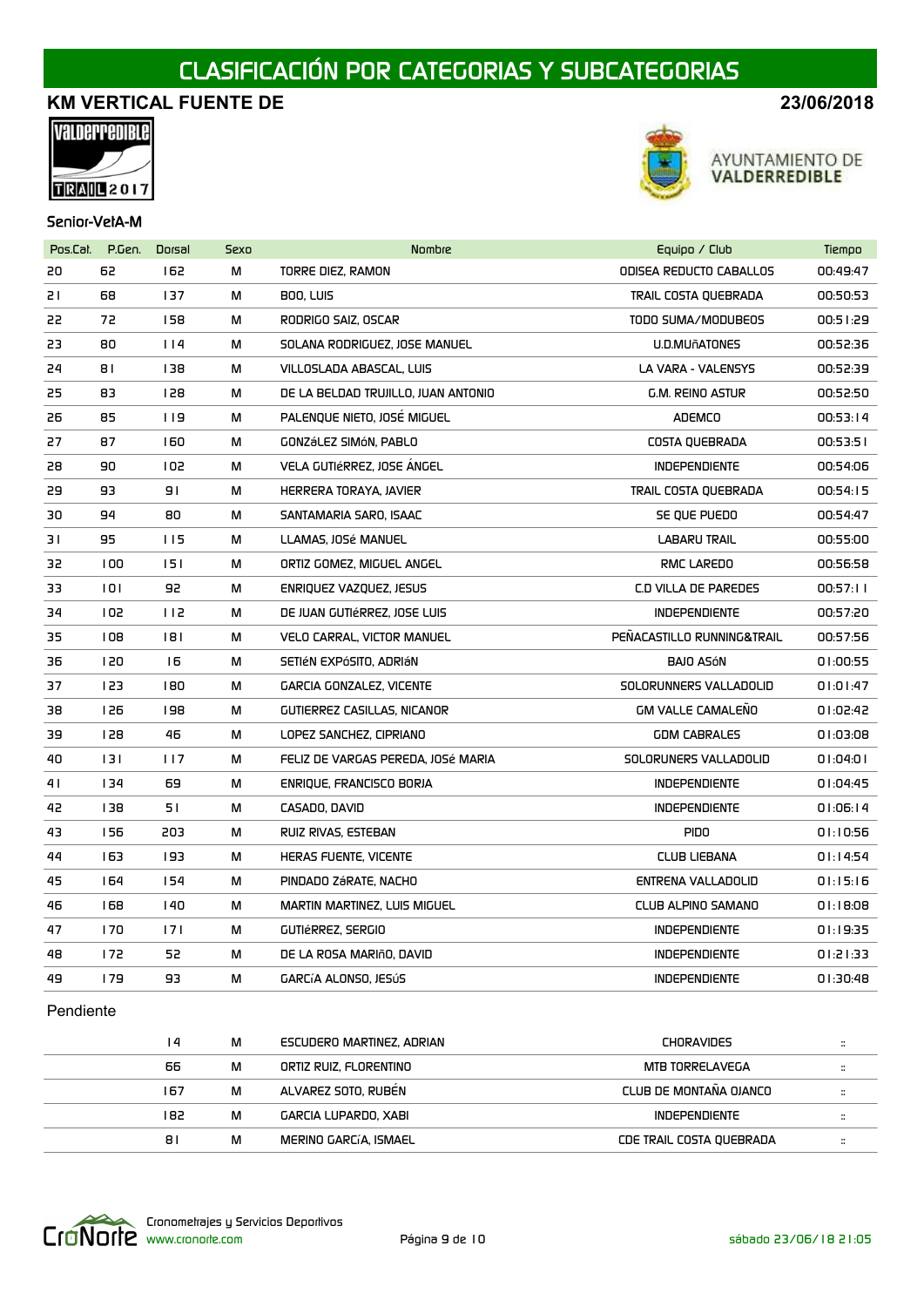### KM VERTICAL FUENTE DE 23/06/2018





AYUNTAMIENTO DE<br>VALDERREDIBLE

### Senior-VetA-M

| Pos.Cal. | P.Gen. | Dorsal | <b>Sexo</b> | Nombre                              | Equipo / Club              | Tiempo     |
|----------|--------|--------|-------------|-------------------------------------|----------------------------|------------|
| 20       | 62     | 162    | M           | TORRE DIEZ, RAMON                   | ODISEA REDUCTO CABALLOS    | 00:49:47   |
| 21       | 68     | 137    | M           | BOO, LUIS                           | TRAIL COSTA QUEBRADA       | 00:50:53   |
| 22       | 72     | 158    | M           | RODRIGO SAIZ, OSCAR                 | TODO SUMA/MODUBEOS         | 00:51:29   |
| 23       | 80     | $ $  4 | M           | SOLANA RODRIGUEZ, JOSE MANUEL       | U.D.MUñATONES              | 00:52:36   |
| 24       | 81     | 138    | м           | VILLOSLADA ABASCAL, LUIS            | LA VARA - VALENSYS         | 00:52:39   |
| 25       | 83     | 128    | M           | DE LA BELDAD TRUJILLO, JUAN ANTONIO | <b>G.M. REINO ASTUR</b>    | 00:52:50   |
| 26       | 85     | 119    | M           | PALENQUE NIETO, JOSÉ MIGUEL         | ADEMCO                     | 00:53:14   |
| 27       | 87     | 160    | M           | GONZáLEZ SIMóN, PABLO               | COSTA OUEBRADA             | 00:53:51   |
| 28       | 90     | 102    | M           | VELA GUTIÉRREZ. JOSE ANGEL          | <b>INDEPENDIENTE</b>       | 00:54:06   |
| 29       | 93     | 91     | м           | HERRERA TORAYA, JAVIER              | TRAIL COSTA QUEBRADA       | 00:54:15   |
| 30       | 94     | 80     | M           | SANTAMARIA SARO, ISAAC              | SE QUE PUEDO               | 00:54:47   |
| 31       | 95     | 115    | M           | LLAMAS, JOSé MANUEL                 | <b>LABARU TRAIL</b>        | 00:55:00   |
| 32       | 100    | 151    | М           | ORTIZ GOMEZ, MIGUEL ANGEL           | RMC LAREDO                 | 00:56:58   |
| 33       | 101    | 92     | M           | ENRIQUEZ VAZQUEZ, JESUS             | C.D VILLA DE PAREDES       | 00:57:11   |
| 34       | 102    | 112    | М           | DE JUAN GUTIÉRREZ, JOSE LUIS        | <b>INDEPENDIENTE</b>       | 00:57:20   |
| 35       | 108    | 181    | M           | VELO CARRAL, VICTOR MANUEL          | PENACASTILLO RUNNING&TRAIL | 00:57:56   |
| 36       | 150    | 16     | M           | SETIÉN EXPÓSITO, ADRIÁN             | <b>BAJO ASÓN</b>           | 01:00:55   |
| 37       | 153    | 180    | М           | GARCIA GONZALEZ, VICENTE            | SOLORUNNERS VALLADOLID     | 01:01:47   |
| 38       | 126    | 198    | M           | GUTIERREZ CASILLAS, NICANOR         | <b>GM VALLE CAMALEÑO</b>   | 01:02:42   |
| 39       | 128    | 46     | м           | LOPEZ SANCHEZ, CIPRIANO             | <b>GDM CABRALES</b>        | 0!:03:08   |
| 40       | 131    | 117    | M           | FELIZ DE VARGAS PEREDA, JOSé MARIA  | SOLORUNERS VALLADOLID      | 0!:04:01   |
| 41       | 134    | 69     | M           | ENRIQUE, FRANCISCO BORJA            | <b>INDEPENDIENTE</b>       | 01:04:45   |
| 42       | 138    | 51     | М           | CASADO, DAVID                       | <b>INDEPENDIENTE</b>       | 01:06:14   |
| 43       | 156    | 203    | M           | RUIZ RIVAS, ESTEBAN                 | <b>PIDO</b>                | 01:10:56   |
| 44       | 163    | 193    | м           | HERAS FUENTE, VICENTE               | <b>CLUB LIEBANA</b>        | 01:14:54   |
| 45       | 164    | 154    | M           | PINDADO ZáRATE, NACHO               | ENTRENA VALLADOLID         | 01:15:16   |
| 46       | 168    | 140    | M           | MARTIN MARTINEZ, LUIS MIGUEL        | <b>CLUB ALPINO SAMANO</b>  | 0! : 18:08 |
| 47       | 170    | 171    | М           | GUTIÉRREZ, SERGIO                   | <b>INDEPENDIENTE</b>       | 01:19:35   |
| 48       | 172    | 52     | M           | DE LA ROSA MARIñO, DAVID            | <b>INDEPENDIENTE</b>       | 01:21:33   |
| 49       | 179    | 93     | M           | GARCÍA ALONSO, JESÚS                | <b>INDEPENDIENTE</b>       | 01:30:48   |
|          |        |        |             |                                     |                            |            |

| 14  | M | ESCUDERO MARTINEZ, ADRIAN | <b>CHORAVIDES</b>        | $\ddot{}}$           |
|-----|---|---------------------------|--------------------------|----------------------|
| 66  | м | ORTIZ RUIZ, FLORENTINO    | MTB TORRELAVEGA          | $\ddot{}}$           |
| 167 | М | ALVAREZ SOTO, RUBEN       | CLUB DE MONTANA OJANCO   | $\ddot{}}$           |
| 182 | М | GARCIA LUPARDO. XABI      | INDEPENDIENTE            | $\ddot{}}$           |
| 81  | M | MERINO GARCíA. ISMAEL     | CDE TRAIL COSTA QUEBRADA | $\ddot{\phantom{0}}$ |